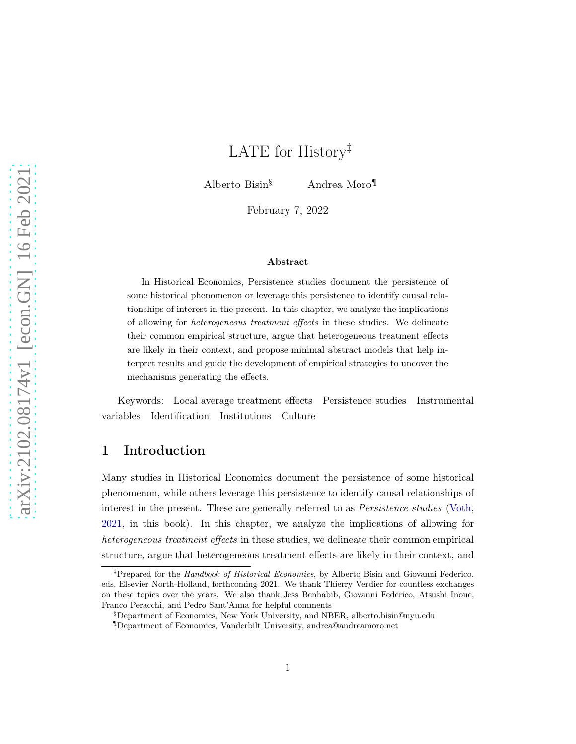# LATE for History‡

Alberto Bisin§ Andrea Moro¶

February 7, 2022

#### Abstract

In Historical Economics, Persistence studies document the persistence of some historical phenomenon or leverage this persistence to identify causal relationships of interest in the present. In this chapter, we analyze the implications of allowing for heterogeneous treatment effects in these studies. We delineate their common empirical structure, argue that heterogeneous treatment effects are likely in their context, and propose minimal abstract models that help interpret results and guide the development of empirical strategies to uncover the mechanisms generating the effects.

Keywords: Local average treatment effects Persistence studies Instrumental variables Identification Institutions Culture

# 1 Introduction

Many studies in Historical Economics document the persistence of some historical phenomenon, while others leverage this persistence to identify causal relationships of interest in the present. These are generally referred to as *Persistence studies* [\(Voth](#page-39-0), [2021,](#page-39-0) in this book). In this chapter, we analyze the implications of allowing for heterogeneous treatment effects in these studies, we delineate their common empirical structure, argue that heterogeneous treatment effects are likely in their context, and

<sup>&</sup>lt;sup>‡</sup>Prepared for the Handbook of Historical Economics, by Alberto Bisin and Giovanni Federico, eds, Elsevier North-Holland, forthcoming 2021. We thank Thierry Verdier for countless exchanges on these topics over the years. We also thank Jess Benhabib, Giovanni Federico, Atsushi Inoue, Franco Peracchi, and Pedro Sant'Anna for helpful comments

<sup>§</sup>Department of Economics, New York University, and NBER, alberto.bisin@nyu.edu

<sup>¶</sup>Department of Economics, Vanderbilt University, andrea@andreamoro.net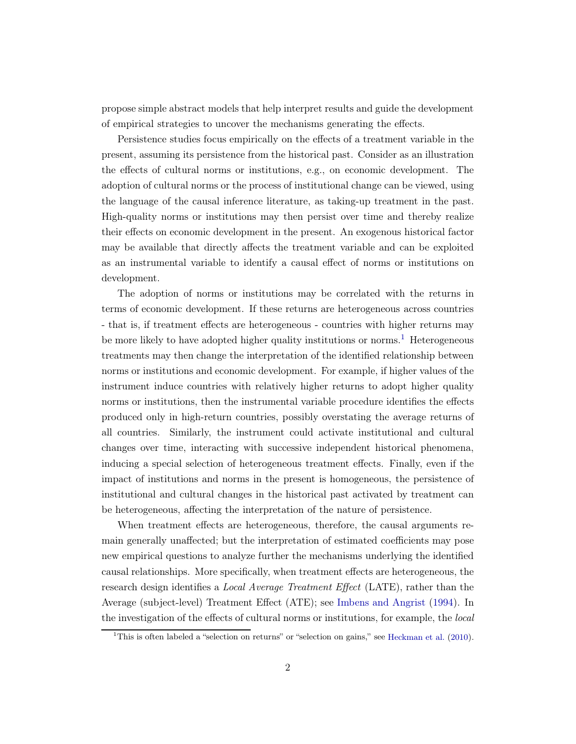propose simple abstract models that help interpret results and guide the development of empirical strategies to uncover the mechanisms generating the effects.

Persistence studies focus empirically on the effects of a treatment variable in the present, assuming its persistence from the historical past. Consider as an illustration the effects of cultural norms or institutions, e.g., on economic development. The adoption of cultural norms or the process of institutional change can be viewed, using the language of the causal inference literature, as taking-up treatment in the past. High-quality norms or institutions may then persist over time and thereby realize their effects on economic development in the present. An exogenous historical factor may be available that directly affects the treatment variable and can be exploited as an instrumental variable to identify a causal effect of norms or institutions on development.

The adoption of norms or institutions may be correlated with the returns in terms of economic development. If these returns are heterogeneous across countries - that is, if treatment effects are heterogeneous - countries with higher returns may be more likely to have adopted higher quality institutions or norms.<sup>1</sup> Heterogeneous treatments may then change the interpretation of the identified relationship between norms or institutions and economic development. For example, if higher values of the instrument induce countries with relatively higher returns to adopt higher quality norms or institutions, then the instrumental variable procedure identifies the effects produced only in high-return countries, possibly overstating the average returns of all countries. Similarly, the instrument could activate institutional and cultural changes over time, interacting with successive independent historical phenomena, inducing a special selection of heterogeneous treatment effects. Finally, even if the impact of institutions and norms in the present is homogeneous, the persistence of institutional and cultural changes in the historical past activated by treatment can be heterogeneous, affecting the interpretation of the nature of persistence.

When treatment effects are heterogeneous, therefore, the causal arguments remain generally unaffected; but the interpretation of estimated coefficients may pose new empirical questions to analyze further the mechanisms underlying the identified causal relationships. More specifically, when treatment effects are heterogeneous, the research design identifies a *Local Average Treatment Effect* (LATE), rather than the Average (subject-level) Treatment Effect (ATE); see [Imbens and Angrist](#page-38-0) [\(1994](#page-38-0)). In the investigation of the effects of cultural norms or institutions, for example, the local

<sup>&</sup>lt;sup>1</sup>This is often labeled a "selection on returns" or "selection on gains," see [Heckman et al.](#page-37-0) [\(2010\)](#page-37-0).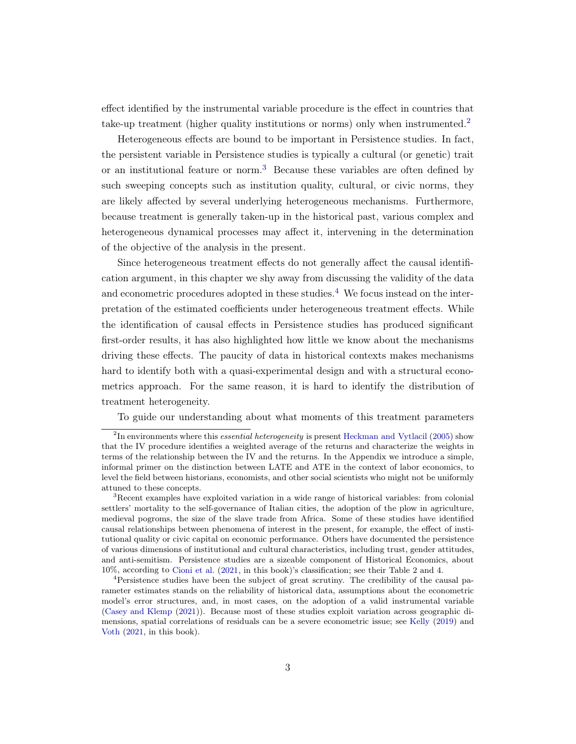effect identified by the instrumental variable procedure is the effect in countries that take-up treatment (higher quality institutions or norms) only when instrumented.<sup>2</sup>

Heterogeneous effects are bound to be important in Persistence studies. In fact, the persistent variable in Persistence studies is typically a cultural (or genetic) trait or an institutional feature or norm.<sup>3</sup> Because these variables are often defined by such sweeping concepts such as institution quality, cultural, or civic norms, they are likely affected by several underlying heterogeneous mechanisms. Furthermore, because treatment is generally taken-up in the historical past, various complex and heterogeneous dynamical processes may affect it, intervening in the determination of the objective of the analysis in the present.

Since heterogeneous treatment effects do not generally affect the causal identification argument, in this chapter we shy away from discussing the validity of the data and econometric procedures adopted in these studies.<sup>4</sup> We focus instead on the interpretation of the estimated coefficients under heterogeneous treatment effects. While the identification of causal effects in Persistence studies has produced significant first-order results, it has also highlighted how little we know about the mechanisms driving these effects. The paucity of data in historical contexts makes mechanisms hard to identify both with a quasi-experimental design and with a structural econometrics approach. For the same reason, it is hard to identify the distribution of treatment heterogeneity.

To guide our understanding about what moments of this treatment parameters

 $^{2}$ In environments where this *essential heterogeneity* is present [Heckman and Vytlacil](#page-38-0) [\(2005](#page-38-0)) show that the IV procedure identifies a weighted average of the returns and characterize the weights in terms of the relationship between the IV and the returns. In the Appendix we introduce a simple, informal primer on the distinction between LATE and ATE in the context of labor economics, to level the field between historians, economists, and other social scientists who might not be uniformly attuned to these concepts.

<sup>3</sup>Recent examples have exploited variation in a wide range of historical variables: from colonial settlers' mortality to the self-governance of Italian cities, the adoption of the plow in agriculture, medieval pogroms, the size of the slave trade from Africa. Some of these studies have identified causal relationships between phenomena of interest in the present, for example, the effect of institutional quality or civic capital on economic performance. Others have documented the persistence of various dimensions of institutional and cultural characteristics, including trust, gender attitudes, and anti-semitism. Persistence studies are a sizeable component of Historical Economics, about 10%, according to [Cioni et al.](#page-37-0) [\(2021](#page-37-0), in this book)'s classification; see their Table 2 and 4.

<sup>4</sup>Persistence studies have been the subject of great scrutiny. The credibility of the causal parameter estimates stands on the reliability of historical data, assumptions about the econometric model's error structures, and, in most cases, on the adoption of a valid instrumental variable [\(Casey and Klemp](#page-36-0) [\(2021](#page-36-0))). Because most of these studies exploit variation across geographic dimensions, spatial correlations of residuals can be a severe econometric issue; see [Kelly](#page-38-0) [\(2019](#page-38-0)) and [Voth](#page-39-0) [\(2021](#page-39-0), in this book).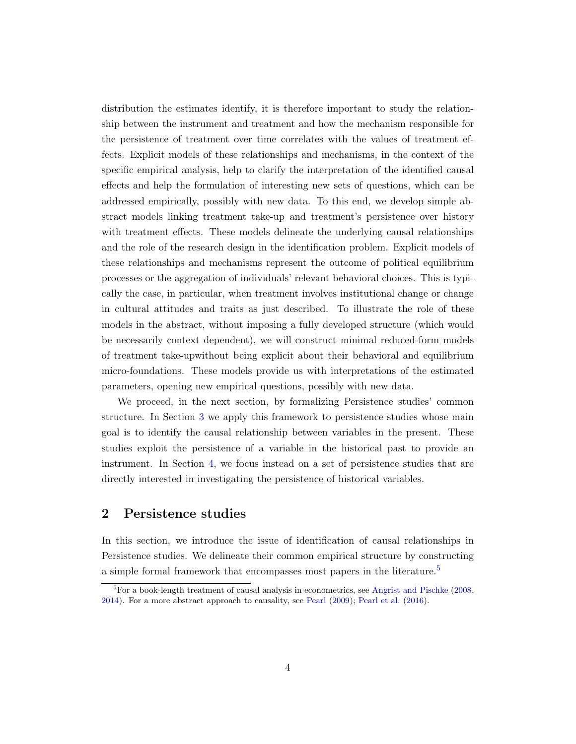distribution the estimates identify, it is therefore important to study the relationship between the instrument and treatment and how the mechanism responsible for the persistence of treatment over time correlates with the values of treatment effects. Explicit models of these relationships and mechanisms, in the context of the specific empirical analysis, help to clarify the interpretation of the identified causal effects and help the formulation of interesting new sets of questions, which can be addressed empirically, possibly with new data. To this end, we develop simple abstract models linking treatment take-up and treatment's persistence over history with treatment effects. These models delineate the underlying causal relationships and the role of the research design in the identification problem. Explicit models of these relationships and mechanisms represent the outcome of political equilibrium processes or the aggregation of individuals' relevant behavioral choices. This is typically the case, in particular, when treatment involves institutional change or change in cultural attitudes and traits as just described. To illustrate the role of these models in the abstract, without imposing a fully developed structure (which would be necessarily context dependent), we will construct minimal reduced-form models of treatment take-upwithout being explicit about their behavioral and equilibrium micro-foundations. These models provide us with interpretations of the estimated parameters, opening new empirical questions, possibly with new data.

We proceed, in the next section, by formalizing Persistence studies' common structure. In Section [3](#page-8-0) we apply this framework to persistence studies whose main goal is to identify the causal relationship between variables in the present. These studies exploit the persistence of a variable in the historical past to provide an instrument. In Section [4,](#page-22-0) we focus instead on a set of persistence studies that are directly interested in investigating the persistence of historical variables.

## 2 Persistence studies

In this section, we introduce the issue of identification of causal relationships in Persistence studies. We delineate their common empirical structure by constructing a simple formal framework that encompasses most papers in the literature.<sup>5</sup>

<sup>&</sup>lt;sup>5</sup>For a book-length treatment of causal analysis in econometrics, see [Angrist and Pischke](#page-35-0) [\(2008](#page-35-0), [2014](#page-35-0)). For a more abstract approach to causality, see [Pearl](#page-38-0) [\(2009\)](#page-38-0); [Pearl et al.](#page-38-0) [\(2016](#page-38-0)).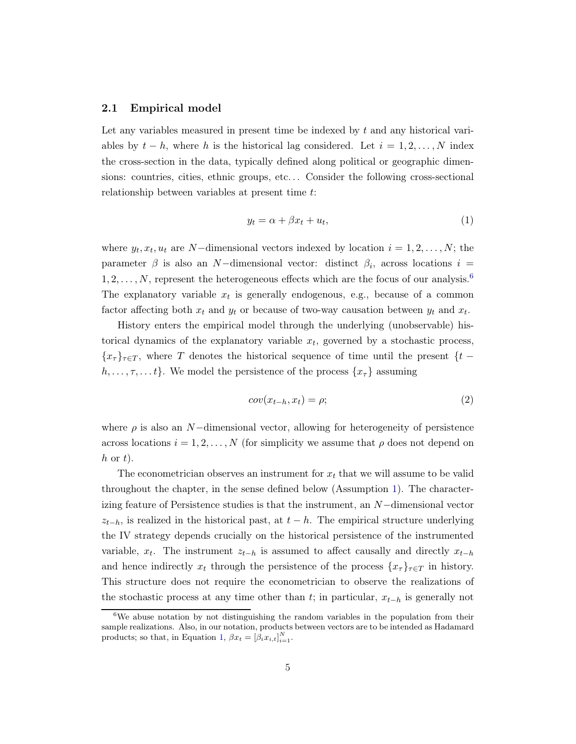### <span id="page-4-0"></span>2.1 Empirical model

Let any variables measured in present time be indexed by  $t$  and any historical variables by  $t-h$ , where h is the historical lag considered. Let  $i=1,2,\ldots,N$  index the cross-section in the data, typically defined along political or geographic dimensions: countries, cities, ethnic groups, etc. . . Consider the following cross-sectional relationship between variables at present time t:

$$
y_t = \alpha + \beta x_t + u_t,\tag{1}
$$

where  $y_t, x_t, u_t$  are N-dimensional vectors indexed by location  $i = 1, 2, ..., N$ ; the parameter  $\beta$  is also an N-dimensional vector: distinct  $\beta_i$ , across locations  $i =$  $1, 2, \ldots, N$ , represent the heterogeneous effects which are the focus of our analysis.<sup>6</sup> The explanatory variable  $x_t$  is generally endogenous, e.g., because of a common factor affecting both  $x_t$  and  $y_t$  or because of two-way causation between  $y_t$  and  $x_t$ .

History enters the empirical model through the underlying (unobservable) historical dynamics of the explanatory variable  $x_t$ , governed by a stochastic process,  ${x_{\tau}}_{\tau\in T}$ , where T denotes the historical sequence of time until the present  ${t$  $h, \ldots, \tau, \ldots t$ . We model the persistence of the process  $\{x_{\tau}\}\$ assuming

$$
cov(x_{t-h}, x_t) = \rho; \tag{2}
$$

where  $\rho$  is also an N-dimensional vector, allowing for heterogeneity of persistence across locations  $i = 1, 2, ..., N$  (for simplicity we assume that  $\rho$  does not depend on  $h$  or  $t$ ).

The econometrician observes an instrument for  $x_t$  that we will assume to be valid throughout the chapter, in the sense defined below (Assumption [1\)](#page-8-0). The characterizing feature of Persistence studies is that the instrument, an N−dimensional vector  $z_{t-h}$ , is realized in the historical past, at  $t-h$ . The empirical structure underlying the IV strategy depends crucially on the historical persistence of the instrumented variable,  $x_t$ . The instrument  $z_{t-h}$  is assumed to affect causally and directly  $x_{t-h}$ and hence indirectly  $x_t$  through the persistence of the process  $\{x_\tau\}_{\tau \in T}$  in history. This structure does not require the econometrician to observe the realizations of the stochastic process at any time other than t; in particular,  $x_{t-h}$  is generally not

<sup>&</sup>lt;sup>6</sup>We abuse notation by not distinguishing the random variables in the population from their sample realizations. Also, in our notation, products between vectors are to be intended as Hadamard products; so that, in Equation 1,  $\beta x_t = [\beta_i x_{i,t}]_{i=1}^N$ .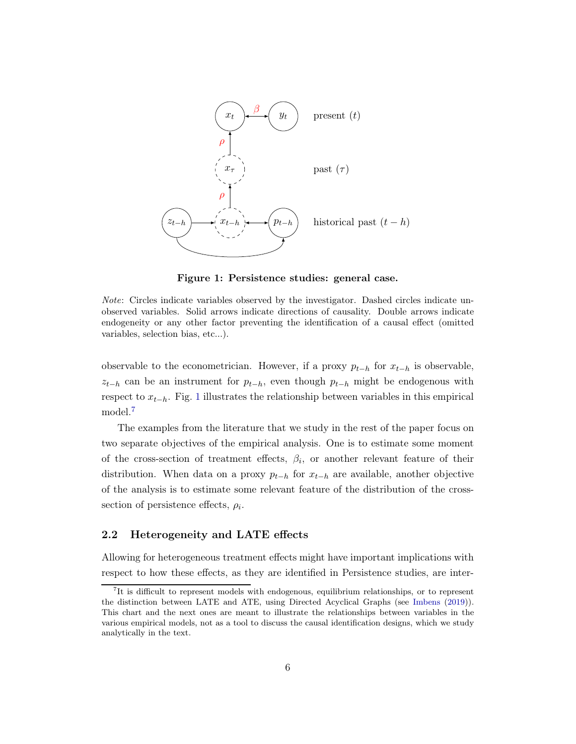<span id="page-5-0"></span>

Figure 1: Persistence studies: general case.

Note: Circles indicate variables observed by the investigator. Dashed circles indicate unobserved variables. Solid arrows indicate directions of causality. Double arrows indicate endogeneity or any other factor preventing the identification of a causal effect (omitted variables, selection bias, etc...).

observable to the econometrician. However, if a proxy  $p_{t-h}$  for  $x_{t-h}$  is observable,  $z_{t-h}$  can be an instrument for  $p_{t-h}$ , even though  $p_{t-h}$  might be endogenous with respect to  $x_{t-h}$ . Fig. 1 illustrates the relationship between variables in this empirical model.<sup>7</sup>

The examples from the literature that we study in the rest of the paper focus on two separate objectives of the empirical analysis. One is to estimate some moment of the cross-section of treatment effects,  $\beta_i$ , or another relevant feature of their distribution. When data on a proxy  $p_{t-h}$  for  $x_{t-h}$  are available, another objective of the analysis is to estimate some relevant feature of the distribution of the crosssection of persistence effects,  $\rho_i$ .

## 2.2 Heterogeneity and LATE effects

Allowing for heterogeneous treatment effects might have important implications with respect to how these effects, as they are identified in Persistence studies, are inter-

<sup>7</sup> It is difficult to represent models with endogenous, equilibrium relationships, or to represent the distinction between LATE and ATE, using Directed Acyclical Graphs (see [Imbens](#page-38-0) [\(2019](#page-38-0))). This chart and the next ones are meant to illustrate the relationships between variables in the various empirical models, not as a tool to discuss the causal identification designs, which we study analytically in the text.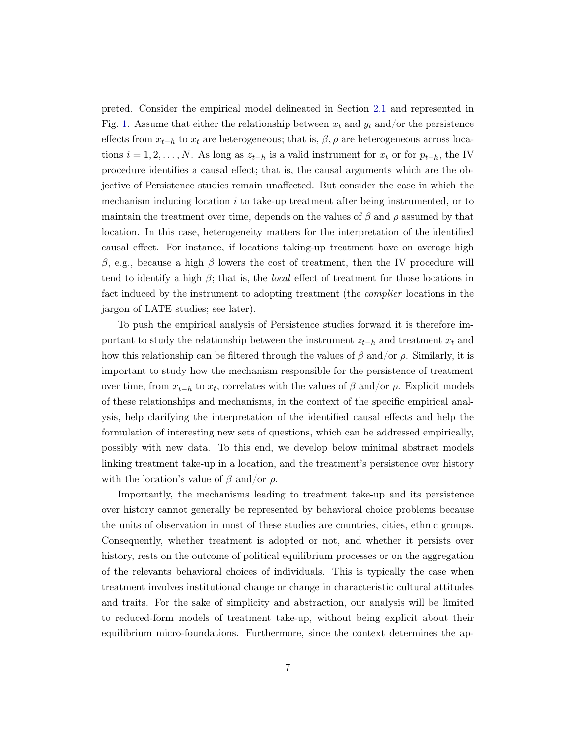preted. Consider the empirical model delineated in Section [2.1](#page-4-0) and represented in Fig. [1.](#page-5-0) Assume that either the relationship between  $x_t$  and  $y_t$  and/or the persistence effects from  $x_{t-h}$  to  $x_t$  are heterogeneous; that is,  $\beta$ ,  $\rho$  are heterogeneous across locations  $i = 1, 2, \ldots, N$ . As long as  $z_{t-h}$  is a valid instrument for  $x_t$  or for  $p_{t-h}$ , the IV procedure identifies a causal effect; that is, the causal arguments which are the objective of Persistence studies remain unaffected. But consider the case in which the mechanism inducing location  $i$  to take-up treatment after being instrumented, or to maintain the treatment over time, depends on the values of  $\beta$  and  $\rho$  assumed by that location. In this case, heterogeneity matters for the interpretation of the identified causal effect. For instance, if locations taking-up treatment have on average high β, e.g., because a high β lowers the cost of treatment, then the IV procedure will tend to identify a high  $\beta$ ; that is, the *local* effect of treatment for those locations in fact induced by the instrument to adopting treatment (the *complier* locations in the jargon of LATE studies; see later).

To push the empirical analysis of Persistence studies forward it is therefore important to study the relationship between the instrument  $z_{t-h}$  and treatment  $x_t$  and how this relationship can be filtered through the values of  $\beta$  and/or  $\rho$ . Similarly, it is important to study how the mechanism responsible for the persistence of treatment over time, from  $x_{t-h}$  to  $x_t$ , correlates with the values of  $\beta$  and/or  $\rho$ . Explicit models of these relationships and mechanisms, in the context of the specific empirical analysis, help clarifying the interpretation of the identified causal effects and help the formulation of interesting new sets of questions, which can be addressed empirically, possibly with new data. To this end, we develop below minimal abstract models linking treatment take-up in a location, and the treatment's persistence over history with the location's value of  $\beta$  and/or  $\rho$ .

Importantly, the mechanisms leading to treatment take-up and its persistence over history cannot generally be represented by behavioral choice problems because the units of observation in most of these studies are countries, cities, ethnic groups. Consequently, whether treatment is adopted or not, and whether it persists over history, rests on the outcome of political equilibrium processes or on the aggregation of the relevants behavioral choices of individuals. This is typically the case when treatment involves institutional change or change in characteristic cultural attitudes and traits. For the sake of simplicity and abstraction, our analysis will be limited to reduced-form models of treatment take-up, without being explicit about their equilibrium micro-foundations. Furthermore, since the context determines the ap-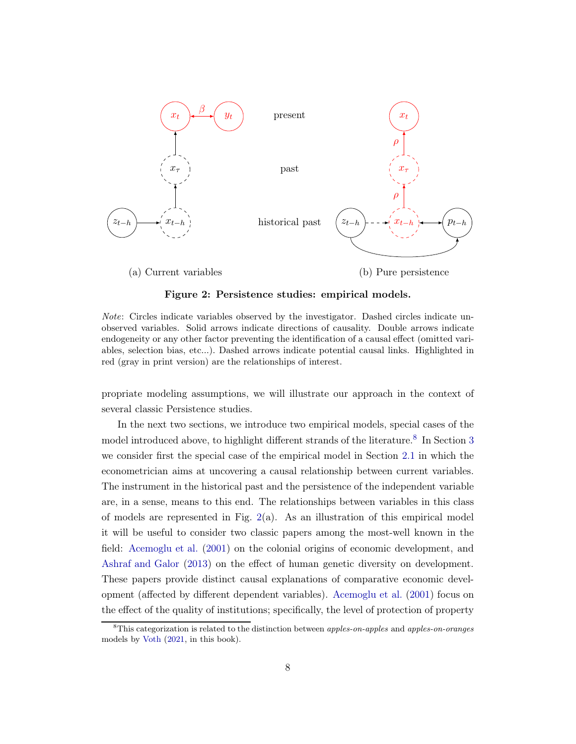<span id="page-7-0"></span>

Figure 2: Persistence studies: empirical models.

Note: Circles indicate variables observed by the investigator. Dashed circles indicate unobserved variables. Solid arrows indicate directions of causality. Double arrows indicate endogeneity or any other factor preventing the identification of a causal effect (omitted variables, selection bias, etc...). Dashed arrows indicate potential causal links. Highlighted in red (gray in print version) are the relationships of interest.

propriate modeling assumptions, we will illustrate our approach in the context of several classic Persistence studies.

In the next two sections, we introduce two empirical models, special cases of the model introduced above, to highlight different strands of the literature.<sup>8</sup> In Section [3](#page-8-0) we consider first the special case of the empirical model in Section [2.1](#page-4-0) in which the econometrician aims at uncovering a causal relationship between current variables. The instrument in the historical past and the persistence of the independent variable are, in a sense, means to this end. The relationships between variables in this class of models are represented in Fig. 2(a). As an illustration of this empirical model it will be useful to consider two classic papers among the most-well known in the field: [Acemoglu et al.](#page-35-0) [\(2001\)](#page-35-0) on the colonial origins of economic development, and [Ashraf and Galor](#page-36-0) [\(2013\)](#page-36-0) on the effect of human genetic diversity on development. These papers provide distinct causal explanations of comparative economic development (affected by different dependent variables). [Acemoglu et al.](#page-35-0) [\(2001](#page-35-0)) focus on the effect of the quality of institutions; specifically, the level of protection of property

 ${}^{8}$ This categorization is related to the distinction between *apples-on-apples* and *apples-on-oranges* models by [Voth](#page-39-0) [\(2021](#page-39-0), in this book).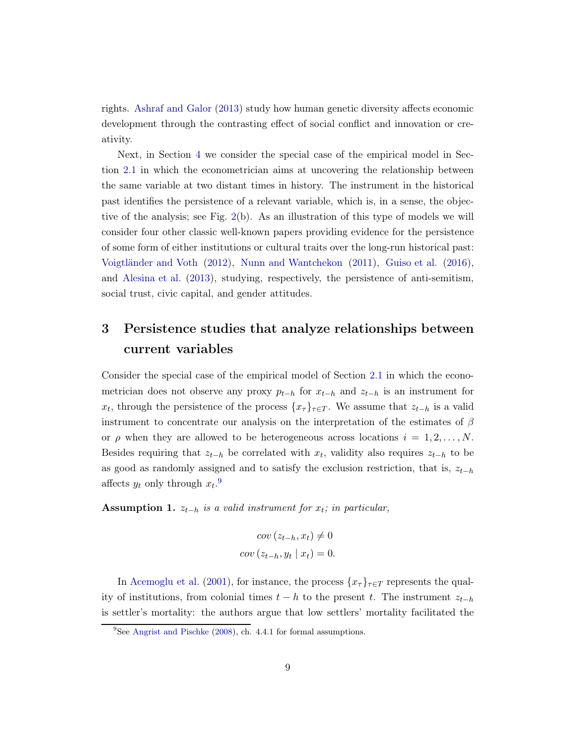<span id="page-8-0"></span>rights. [Ashraf and Galor](#page-36-0) [\(2013](#page-36-0)) study how human genetic diversity affects economic development through the contrasting effect of social conflict and innovation or creativity.

Next, in Section [4](#page-22-0) we consider the special case of the empirical model in Section [2.1](#page-4-0) in which the econometrician aims at uncovering the relationship between the same variable at two distant times in history. The instrument in the historical past identifies the persistence of a relevant variable, which is, in a sense, the objective of the analysis; see Fig. [2\(](#page-7-0)b). As an illustration of this type of models we will consider four other classic well-known papers providing evidence for the persistence of some form of either institutions or cultural traits over the long-run historical past: [Voigtländer and Voth](#page-39-0) [\(2012](#page-39-0)), [Nunn and Wantchekon](#page-38-0) [\(2011](#page-38-0)), [Guiso et al.](#page-37-0) [\(2016\)](#page-37-0), and [Alesina et al.](#page-35-0) [\(2013](#page-35-0)), studying, respectively, the persistence of anti-semitism, social trust, civic capital, and gender attitudes.

# 3 Persistence studies that analyze relationships between current variables

Consider the special case of the empirical model of Section [2.1](#page-4-0) in which the econometrician does not observe any proxy  $p_{t-h}$  for  $x_{t-h}$  and  $z_{t-h}$  is an instrument for  $x_t$ , through the persistence of the process  $\{x_\tau\}_{\tau\in T}$ . We assume that  $z_{t-h}$  is a valid instrument to concentrate our analysis on the interpretation of the estimates of  $\beta$ or  $\rho$  when they are allowed to be heterogeneous across locations  $i = 1, 2, \ldots, N$ . Besides requiring that  $z_{t-h}$  be correlated with  $x_t$ , validity also requires  $z_{t-h}$  to be as good as randomly assigned and to satisfy the exclusion restriction, that is,  $z_{t-h}$ affects  $y_t$  only through  $x_t$ .<sup>9</sup>

Assumption 1.  $z_{t-h}$  is a valid instrument for  $x_t$ ; in particular,

$$
cov(z_{t-h}, x_t) \neq 0
$$
  
 
$$
cov(z_{t-h}, y_t | x_t) = 0.
$$

In [Acemoglu et al.](#page-35-0) [\(2001](#page-35-0)), for instance, the process  $\{x_{\tau}\}_{\tau \in T}$  represents the quality of institutions, from colonial times  $t - h$  to the present t. The instrument  $z_{t-h}$ is settler's mortality: the authors argue that low settlers' mortality facilitated the

 $^{9}$ See [Angrist and Pischke](#page-35-0) [\(2008](#page-35-0)), ch. 4.4.1 for formal assumptions.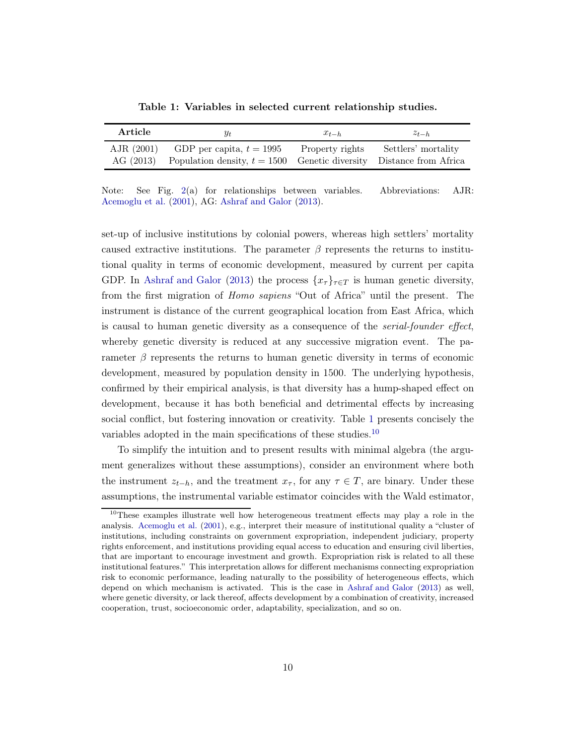| Article         | Чŧ                                                                    | $x_{t-h}$       | $z_{t-h}$           |
|-----------------|-----------------------------------------------------------------------|-----------------|---------------------|
| $A$ JR $(2001)$ | GDP per capita, $t = 1995$                                            | Property rights | Settlers' mortality |
| AG(2013)        | Population density, $t = 1500$ Genetic diversity Distance from Africa |                 |                     |

Table 1: Variables in selected current relationship studies.

Note: See Fig. [2\(](#page-7-0)a) for relationships between variables. Abbreviations: AJR: [Acemoglu et al.](#page-35-0) [\(2001](#page-35-0)), AG: [Ashraf and Galor](#page-36-0) [\(2013\)](#page-36-0).

set-up of inclusive institutions by colonial powers, whereas high settlers' mortality caused extractive institutions. The parameter  $\beta$  represents the returns to institutional quality in terms of economic development, measured by current per capita GDP. In [Ashraf and Galor](#page-36-0) [\(2013\)](#page-36-0) the process  $\{x_\tau\}_{\tau \in T}$  is human genetic diversity, from the first migration of Homo sapiens "Out of Africa" until the present. The instrument is distance of the current geographical location from East Africa, which is causal to human genetic diversity as a consequence of the serial-founder effect, whereby genetic diversity is reduced at any successive migration event. The parameter  $\beta$  represents the returns to human genetic diversity in terms of economic development, measured by population density in 1500. The underlying hypothesis, confirmed by their empirical analysis, is that diversity has a hump-shaped effect on development, because it has both beneficial and detrimental effects by increasing social conflict, but fostering innovation or creativity. Table 1 presents concisely the variables adopted in the main specifications of these studies.<sup>10</sup>

To simplify the intuition and to present results with minimal algebra (the argument generalizes without these assumptions), consider an environment where both the instrument  $z_{t-h}$ , and the treatment  $x_{\tau}$ , for any  $\tau \in T$ , are binary. Under these assumptions, the instrumental variable estimator coincides with the Wald estimator,

<sup>10</sup>These examples illustrate well how heterogeneous treatment effects may play a role in the analysis. [Acemoglu et al.](#page-35-0) [\(2001](#page-35-0)), e.g., interpret their measure of institutional quality a "cluster of institutions, including constraints on government expropriation, independent judiciary, property rights enforcement, and institutions providing equal access to education and ensuring civil liberties, that are important to encourage investment and growth. Expropriation risk is related to all these institutional features." This interpretation allows for different mechanisms connecting expropriation risk to economic performance, leading naturally to the possibility of heterogeneous effects, which depend on which mechanism is activated. This is the case in [Ashraf and Galor](#page-36-0) [\(2013\)](#page-36-0) as well, where genetic diversity, or lack thereof, affects development by a combination of creativity, increased cooperation, trust, socioeconomic order, adaptability, specialization, and so on.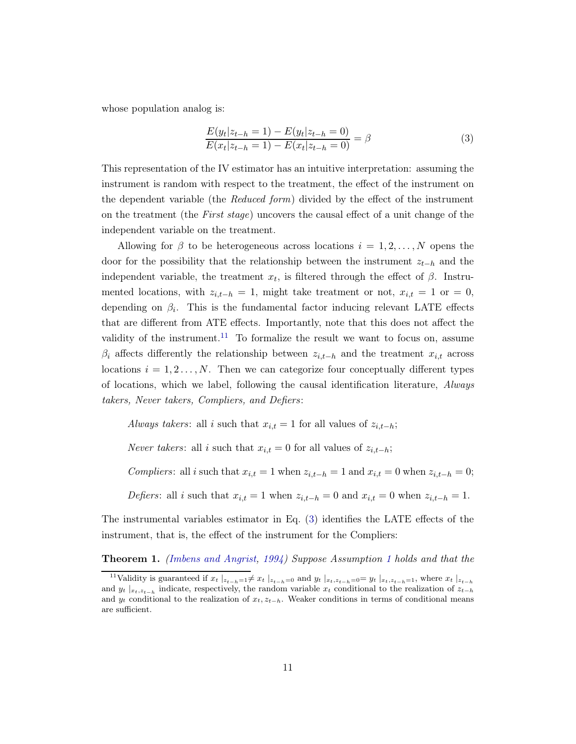<span id="page-10-0"></span>whose population analog is:

$$
\frac{E(y_t|z_{t-h} = 1) - E(y_t|z_{t-h} = 0)}{E(x_t|z_{t-h} = 1) - E(x_t|z_{t-h} = 0)} = \beta
$$
\n(3)

This representation of the IV estimator has an intuitive interpretation: assuming the instrument is random with respect to the treatment, the effect of the instrument on the dependent variable (the *Reduced form*) divided by the effect of the instrument on the treatment (the First stage) uncovers the causal effect of a unit change of the independent variable on the treatment.

Allowing for  $\beta$  to be heterogeneous across locations  $i = 1, 2, ..., N$  opens the door for the possibility that the relationship between the instrument  $z_{t-h}$  and the independent variable, the treatment  $x_t$ , is filtered through the effect of  $\beta$ . Instrumented locations, with  $z_{i,t-h} = 1$ , might take treatment or not,  $x_{i,t} = 1$  or  $= 0$ , depending on  $\beta_i$ . This is the fundamental factor inducing relevant LATE effects that are different from ATE effects. Importantly, note that this does not affect the validity of the instrument.<sup>11</sup> To formalize the result we want to focus on, assume  $\beta_i$  affects differently the relationship between  $z_{i,t-h}$  and the treatment  $x_{i,t}$  across locations  $i = 1, 2, \ldots, N$ . Then we can categorize four conceptually different types of locations, which we label, following the causal identification literature, Always takers, Never takers, Compliers, and Defiers:

Always takers: all i such that  $x_{i,t} = 1$  for all values of  $z_{i,t-h}$ ;

*Never takers*: all *i* such that  $x_{i,t} = 0$  for all values of  $z_{i,t-h}$ ;

Compliers: all i such that  $x_{i,t} = 1$  when  $z_{i,t-h} = 1$  and  $x_{i,t} = 0$  when  $z_{i,t-h} = 0$ ;

Defiers: all i such that  $x_{i,t} = 1$  when  $z_{i,t-h} = 0$  and  $x_{i,t} = 0$  when  $z_{i,t-h} = 1$ .

The instrumental variables estimator in Eq. (3) identifies the LATE effects of the instrument, that is, the effect of the instrument for the Compliers:

Theorem 1. [\(Imbens and Angrist](#page-38-0), [1994](#page-38-0)) Suppose Assumption [1](#page-8-0) holds and that the

<sup>&</sup>lt;sup>11</sup>Validity is guaranteed if  $x_t \mid_{z_{t-h}=1}$  ≠  $x_t \mid_{z_{t-h}=0}$  and  $y_t \mid_{x_t,z_{t-h}=0}$  =  $y_t \mid_{x_t,z_{t-h}=1}$ , where  $x_t \mid_{z_{t-h}}$ and  $y_t \mid_{x_t, z_{t-h}}$  indicate, respectively, the random variable  $x_t$  conditional to the realization of  $z_{t-h}$ and  $y_t$  conditional to the realization of  $x_t, z_{t-h}$ . Weaker conditions in terms of conditional means are sufficient.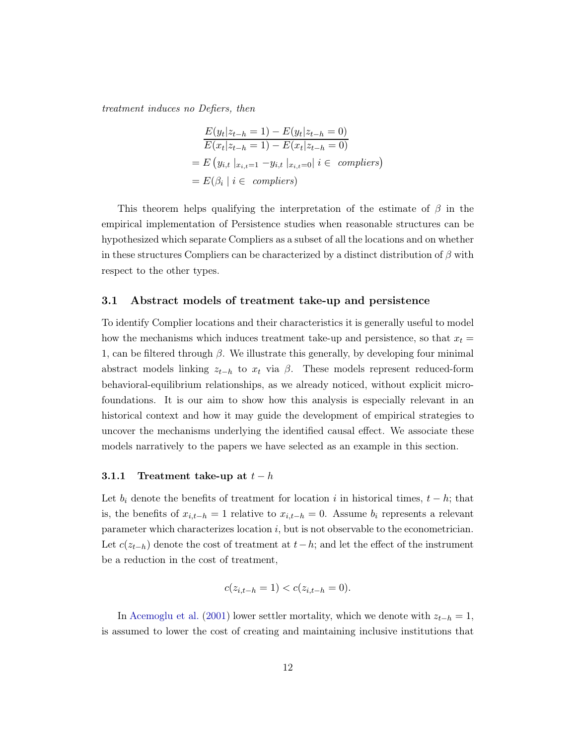<span id="page-11-0"></span>treatment induces no Defiers, then

$$
\frac{E(y_t|z_{t-h}=1) - E(y_t|z_{t-h}=0)}{E(x_t|z_{t-h}=1) - E(x_t|z_{t-h}=0)}
$$
\n
$$
= E(y_{i,t}|x_{i,t=1} - y_{i,t}|x_{i,t=0}|i \in \text{complex})
$$
\n
$$
= E(\beta_i | i \in \text{complex})
$$

This theorem helps qualifying the interpretation of the estimate of  $\beta$  in the empirical implementation of Persistence studies when reasonable structures can be hypothesized which separate Compliers as a subset of all the locations and on whether in these structures Compliers can be characterized by a distinct distribution of  $\beta$  with respect to the other types.

### 3.1 Abstract models of treatment take-up and persistence

To identify Complier locations and their characteristics it is generally useful to model how the mechanisms which induces treatment take-up and persistence, so that  $x_t =$ 1, can be filtered through  $\beta$ . We illustrate this generally, by developing four minimal abstract models linking  $z_{t-h}$  to  $x_t$  via  $\beta$ . These models represent reduced-form behavioral-equilibrium relationships, as we already noticed, without explicit microfoundations. It is our aim to show how this analysis is especially relevant in an historical context and how it may guide the development of empirical strategies to uncover the mechanisms underlying the identified causal effect. We associate these models narratively to the papers we have selected as an example in this section.

#### 3.1.1 Treatment take-up at  $t-h$

Let  $b_i$  denote the benefits of treatment for location i in historical times,  $t - h$ ; that is, the benefits of  $x_{i,t-h} = 1$  relative to  $x_{i,t-h} = 0$ . Assume  $b_i$  represents a relevant parameter which characterizes location  $i$ , but is not observable to the econometrician. Let  $c(z_{t-h})$  denote the cost of treatment at  $t-h$ ; and let the effect of the instrument be a reduction in the cost of treatment,

$$
c(z_{i,t-h} = 1) < c(z_{i,t-h} = 0).
$$

In [Acemoglu et al.](#page-35-0) [\(2001\)](#page-35-0) lower settler mortality, which we denote with  $z_{t-h} = 1$ , is assumed to lower the cost of creating and maintaining inclusive institutions that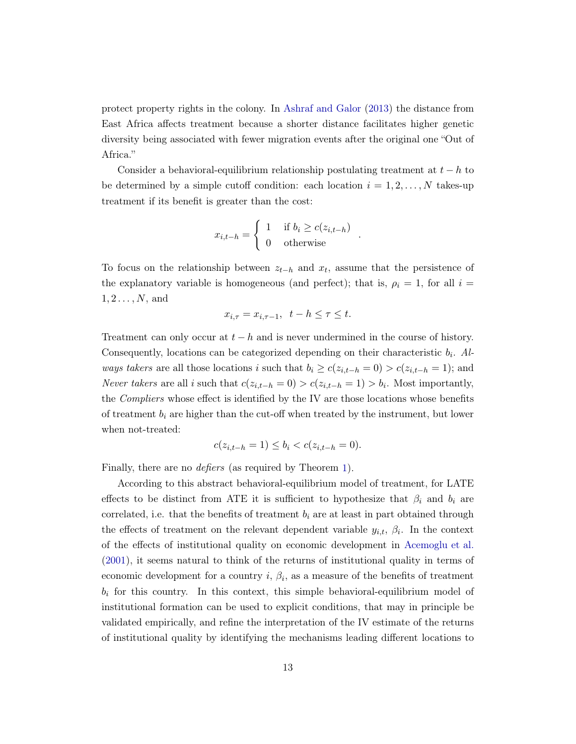protect property rights in the colony. In [Ashraf and Galor](#page-36-0) [\(2013](#page-36-0)) the distance from East Africa affects treatment because a shorter distance facilitates higher genetic diversity being associated with fewer migration events after the original one "Out of Africa."

Consider a behavioral-equilibrium relationship postulating treatment at  $t - h$  to be determined by a simple cutoff condition: each location  $i = 1, 2, \ldots, N$  takes-up treatment if its benefit is greater than the cost:

$$
x_{i,t-h} = \begin{cases} 1 & \text{if } b_i \ge c(z_{i,t-h}) \\ 0 & \text{otherwise} \end{cases}
$$

.

To focus on the relationship between  $z_{t-h}$  and  $x_t$ , assume that the persistence of the explanatory variable is homogeneous (and perfect); that is,  $\rho_i = 1$ , for all  $i =$  $1, 2 \ldots, N$ , and

$$
x_{i,\tau} = x_{i,\tau-1}, \ \ t - h \le \tau \le t.
$$

Treatment can only occur at  $t - h$  and is never undermined in the course of history. Consequently, locations can be categorized depending on their characteristic  $b_i$ . Always takers are all those locations i such that  $b_i \ge c(z_{i,t-h} = 0) > c(z_{i,t-h} = 1)$ ; and *Never takers* are all *i* such that  $c(z_{i,t-h} = 0) > c(z_{i,t-h} = 1) > b_i$ . Most importantly, the *Compliers* whose effect is identified by the IV are those locations whose benefits of treatment  $b_i$  are higher than the cut-off when treated by the instrument, but lower when not-treated:

$$
c(z_{i,t-h} = 1) \le b_i < c(z_{i,t-h} = 0).
$$

Finally, there are no *defiers* (as required by Theorem [1\)](#page-10-0).

According to this abstract behavioral-equilibrium model of treatment, for LATE effects to be distinct from ATE it is sufficient to hypothesize that  $\beta_i$  and  $b_i$  are correlated, i.e. that the benefits of treatment  $b_i$  are at least in part obtained through the effects of treatment on the relevant dependent variable  $y_{i,t}$ ,  $\beta_i$ . In the context of the effects of institutional quality on economic development in [Acemoglu et al.](#page-35-0) [\(2001\)](#page-35-0), it seems natural to think of the returns of institutional quality in terms of economic development for a country  $i, \beta_i$ , as a measure of the benefits of treatment  $b_i$  for this country. In this context, this simple behavioral-equilibrium model of institutional formation can be used to explicit conditions, that may in principle be validated empirically, and refine the interpretation of the IV estimate of the returns of institutional quality by identifying the mechanisms leading different locations to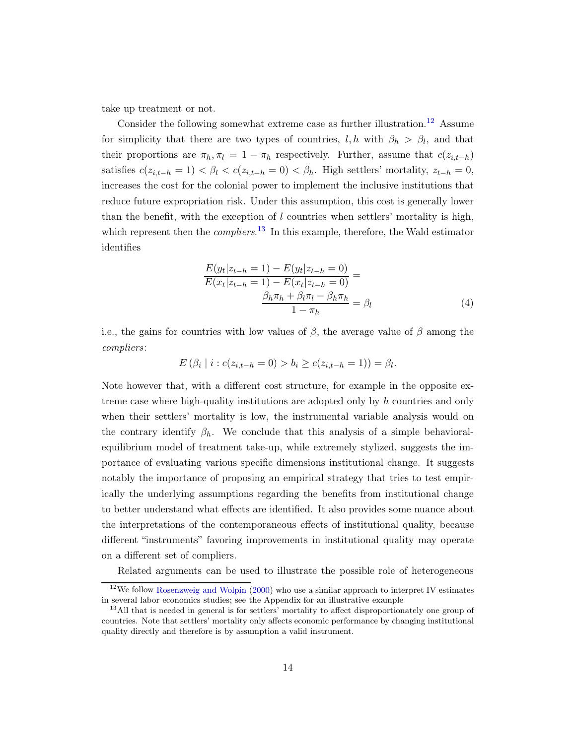<span id="page-13-0"></span>take up treatment or not.

Consider the following somewhat extreme case as further illustration.<sup>12</sup> Assume for simplicity that there are two types of countries,  $l, h$  with  $\beta_h > \beta_l$ , and that their proportions are  $\pi_h$ ,  $\pi_l = 1 - \pi_h$  respectively. Further, assume that  $c(z_{i,t-h})$ satisfies  $c(z_{i,t-h} = 1) < \beta_l < c(z_{i,t-h} = 0) < \beta_h$ . High settlers' mortality,  $z_{t-h} = 0$ , increases the cost for the colonial power to implement the inclusive institutions that reduce future expropriation risk. Under this assumption, this cost is generally lower than the benefit, with the exception of  $l$  countries when settlers' mortality is high, which represent then the *compliers*.<sup>13</sup> In this example, therefore, the Wald estimator identifies

$$
\frac{E(y_t|z_{t-h} = 1) - E(y_t|z_{t-h} = 0)}{E(x_t|z_{t-h} = 1) - E(x_t|z_{t-h} = 0)} = \frac{\beta_h \pi_h + \beta_l \pi_l - \beta_h \pi_h}{1 - \pi_h} = \beta_l \tag{4}
$$

i.e., the gains for countries with low values of  $\beta$ , the average value of  $\beta$  among the compliers:

$$
E(\beta_i | i : c(z_{i,t-h} = 0) > b_i \ge c(z_{i,t-h} = 1)) = \beta_i.
$$

Note however that, with a different cost structure, for example in the opposite extreme case where high-quality institutions are adopted only by h countries and only when their settlers' mortality is low, the instrumental variable analysis would on the contrary identify  $\beta_h$ . We conclude that this analysis of a simple behavioralequilibrium model of treatment take-up, while extremely stylized, suggests the importance of evaluating various specific dimensions institutional change. It suggests notably the importance of proposing an empirical strategy that tries to test empirically the underlying assumptions regarding the benefits from institutional change to better understand what effects are identified. It also provides some nuance about the interpretations of the contemporaneous effects of institutional quality, because different "instruments" favoring improvements in institutional quality may operate on a different set of compliers.

Related arguments can be used to illustrate the possible role of heterogeneous

 $12$ We follow [Rosenzweig and Wolpin](#page-38-0) [\(2000\)](#page-38-0) who use a similar approach to interpret IV estimates in several labor economics studies; see the Appendix for an illustrative example

<sup>&</sup>lt;sup>13</sup>All that is needed in general is for settlers' mortality to affect disproportionately one group of countries. Note that settlers' mortality only affects economic performance by changing institutional quality directly and therefore is by assumption a valid instrument.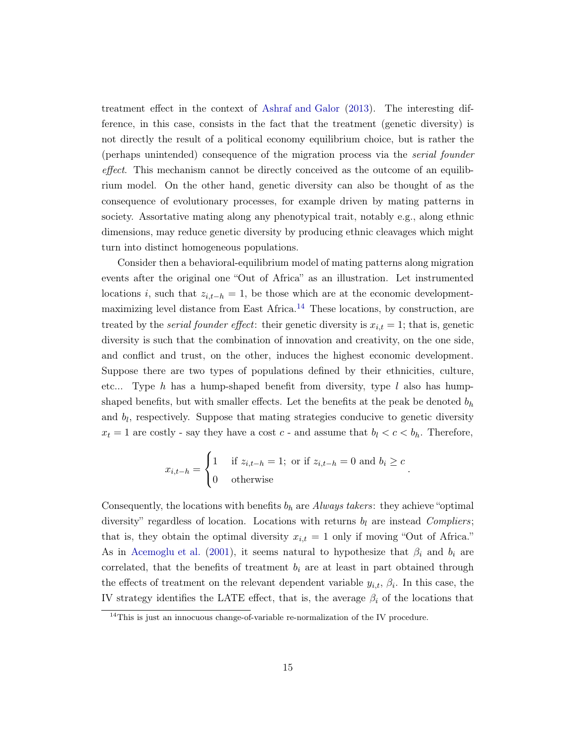treatment effect in the context of [Ashraf and Galor](#page-36-0) [\(2013](#page-36-0)). The interesting difference, in this case, consists in the fact that the treatment (genetic diversity) is not directly the result of a political economy equilibrium choice, but is rather the (perhaps unintended) consequence of the migration process via the serial founder effect. This mechanism cannot be directly conceived as the outcome of an equilibrium model. On the other hand, genetic diversity can also be thought of as the consequence of evolutionary processes, for example driven by mating patterns in society. Assortative mating along any phenotypical trait, notably e.g., along ethnic dimensions, may reduce genetic diversity by producing ethnic cleavages which might turn into distinct homogeneous populations.

Consider then a behavioral-equilibrium model of mating patterns along migration events after the original one "Out of Africa" as an illustration. Let instrumented locations *i*, such that  $z_{i,t-h} = 1$ , be those which are at the economic developmentmaximizing level distance from East Africa.<sup>14</sup> These locations, by construction, are treated by the *serial founder effect*: their genetic diversity is  $x_{i,t} = 1$ ; that is, genetic diversity is such that the combination of innovation and creativity, on the one side, and conflict and trust, on the other, induces the highest economic development. Suppose there are two types of populations defined by their ethnicities, culture, etc... Type h has a hump-shaped benefit from diversity, type  $l$  also has humpshaped benefits, but with smaller effects. Let the benefits at the peak be denoted  $b_h$ and  $b_l$ , respectively. Suppose that mating strategies conducive to genetic diversity  $x_t = 1$  are costly - say they have a cost c - and assume that  $b_l < c < b_h$ . Therefore,

$$
x_{i,t-h} = \begin{cases} 1 & \text{if } z_{i,t-h} = 1; \text{ or if } z_{i,t-h} = 0 \text{ and } b_i \ge c \\ 0 & \text{otherwise} \end{cases}
$$

.

Consequently, the locations with benefits  $b_h$  are *Always takers*: they achieve "optimal" diversity" regardless of location. Locations with returns  $b_l$  are instead Compliers; that is, they obtain the optimal diversity  $x_{i,t} = 1$  only if moving "Out of Africa." As in [Acemoglu et al.](#page-35-0) [\(2001](#page-35-0)), it seems natural to hypothesize that  $\beta_i$  and  $b_i$  are correlated, that the benefits of treatment  $b_i$  are at least in part obtained through the effects of treatment on the relevant dependent variable  $y_{i,t}$ ,  $\beta_i$ . In this case, the IV strategy identifies the LATE effect, that is, the average  $\beta_i$  of the locations that

 $14$ This is just an innocuous change-of-variable re-normalization of the IV procedure.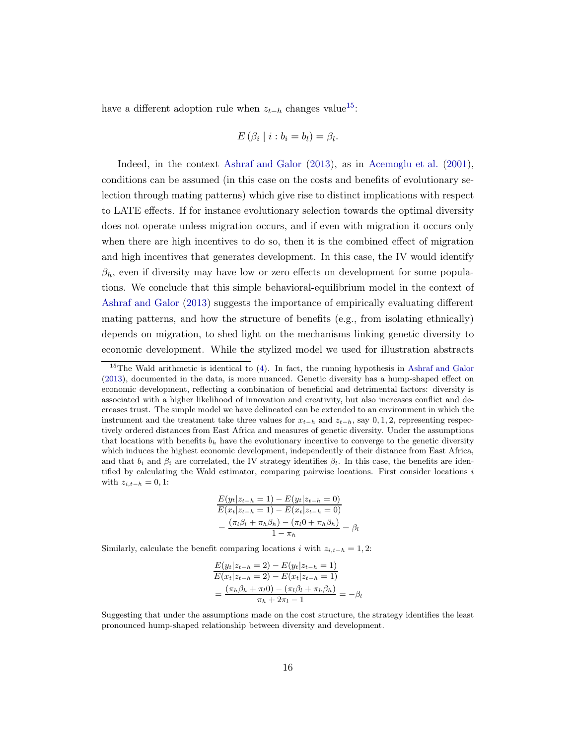have a different adoption rule when  $z_{t-h}$  changes value<sup>15</sup>:

$$
E(\beta_i \mid i : b_i = b_l) = \beta_l.
$$

Indeed, in the context [Ashraf and Galor](#page-36-0) [\(2013](#page-36-0)), as in [Acemoglu et al.](#page-35-0) [\(2001\)](#page-35-0), conditions can be assumed (in this case on the costs and benefits of evolutionary selection through mating patterns) which give rise to distinct implications with respect to LATE effects. If for instance evolutionary selection towards the optimal diversity does not operate unless migration occurs, and if even with migration it occurs only when there are high incentives to do so, then it is the combined effect of migration and high incentives that generates development. In this case, the IV would identify  $\beta_h$ , even if diversity may have low or zero effects on development for some populations. We conclude that this simple behavioral-equilibrium model in the context of [Ashraf and Galor](#page-36-0) [\(2013](#page-36-0)) suggests the importance of empirically evaluating different mating patterns, and how the structure of benefits (e.g., from isolating ethnically) depends on migration, to shed light on the mechanisms linking genetic diversity to economic development. While the stylized model we used for illustration abstracts

$$
\frac{E(y_t|z_{t-h} = 1) - E(y_t|z_{t-h} = 0)}{E(x_t|z_{t-h} = 1) - E(x_t|z_{t-h} = 0)}
$$
\n
$$
= \frac{(\pi_t \beta_t + \pi_h \beta_h) - (\pi_t 0 + \pi_h \beta_h)}{1 - \pi_h} = \beta_t
$$

Similarly, calculate the benefit comparing locations i with  $z_{i,t-h} = 1, 2$ :

$$
\frac{E(y_t|z_{t-h} = 2) - E(y_t|z_{t-h} = 1)}{E(x_t|z_{t-h} = 2) - E(x_t|z_{t-h} = 1)}
$$
\n
$$
= \frac{(\pi_h \beta_h + \pi_l 0) - (\pi_l \beta_l + \pi_h \beta_h)}{\pi_h + 2\pi_l - 1} = -\beta_l
$$

Suggesting that under the assumptions made on the cost structure, the strategy identifies the least pronounced hump-shaped relationship between diversity and development.

<sup>&</sup>lt;sup>15</sup>The Wald arithmetic is identical to  $(4)$ . In fact, the running hypothesis in [Ashraf and Galor](#page-36-0) [\(2013\)](#page-36-0), documented in the data, is more nuanced. Genetic diversity has a hump-shaped effect on economic development, reflecting a combination of beneficial and detrimental factors: diversity is associated with a higher likelihood of innovation and creativity, but also increases conflict and decreases trust. The simple model we have delineated can be extended to an environment in which the instrument and the treatment take three values for  $x_{t-h}$  and  $z_{t-h}$ , say 0, 1, 2, representing respectively ordered distances from East Africa and measures of genetic diversity. Under the assumptions that locations with benefits  $b<sub>h</sub>$  have the evolutionary incentive to converge to the genetic diversity which induces the highest economic development, independently of their distance from East Africa, and that  $b_i$  and  $\beta_i$  are correlated, the IV strategy identifies  $\beta_l$ . In this case, the benefits are identified by calculating the Wald estimator, comparing pairwise locations. First consider locations  $i$ with  $z_{i,t-h} = 0, 1$ :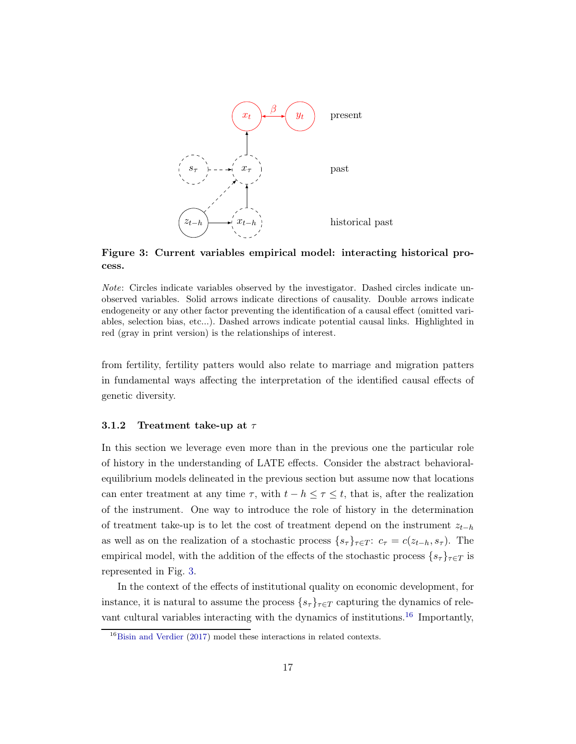

Figure 3: Current variables empirical model: interacting historical process.

Note: Circles indicate variables observed by the investigator. Dashed circles indicate unobserved variables. Solid arrows indicate directions of causality. Double arrows indicate endogeneity or any other factor preventing the identification of a causal effect (omitted variables, selection bias, etc...). Dashed arrows indicate potential causal links. Highlighted in red (gray in print version) is the relationships of interest.

from fertility, fertility patters would also relate to marriage and migration patters in fundamental ways affecting the interpretation of the identified causal effects of genetic diversity.

#### 3.1.2 Treatment take-up at  $\tau$

In this section we leverage even more than in the previous one the particular role of history in the understanding of LATE effects. Consider the abstract behavioralequilibrium models delineated in the previous section but assume now that locations can enter treatment at any time  $\tau$ , with  $t - h \leq \tau \leq t$ , that is, after the realization of the instrument. One way to introduce the role of history in the determination of treatment take-up is to let the cost of treatment depend on the instrument  $z_{t-h}$ as well as on the realization of a stochastic process  $\{s_{\tau}\}_{\tau\in T}: c_{\tau}=c(z_{t-h}, s_{\tau}).$  The empirical model, with the addition of the effects of the stochastic process  $\{s_{\tau}\}_{\tau\in T}$  is represented in Fig. 3.

In the context of the effects of institutional quality on economic development, for instance, it is natural to assume the process  $\{s_{\tau}\}_{\tau \in T}$  capturing the dynamics of relevant cultural variables interacting with the dynamics of institutions.<sup>16</sup> Importantly,

 $16$ [Bisin and Verdier](#page-36-0) [\(2017](#page-36-0)) model these interactions in related contexts.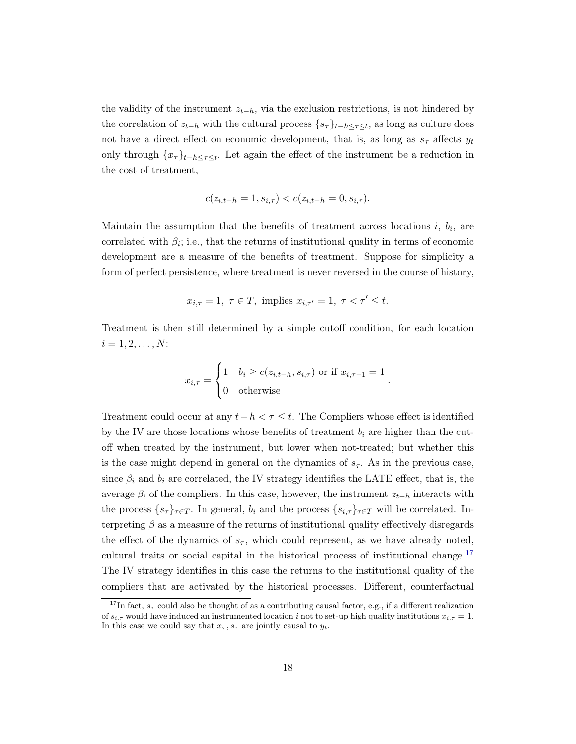<span id="page-17-0"></span>the validity of the instrument  $z_{t-h}$ , via the exclusion restrictions, is not hindered by the correlation of  $z_{t-h}$  with the cultural process  $\{s_{\tau}\}_{t-h \leq \tau \leq t}$ , as long as culture does not have a direct effect on economic development, that is, as long as  $s<sub>\tau</sub>$  affects  $y<sub>t</sub>$ only through  $\{x_{\tau}\}_{t-h \leq \tau \leq t}$ . Let again the effect of the instrument be a reduction in the cost of treatment,

$$
c(z_{i,t-h} = 1, s_{i,\tau}) < c(z_{i,t-h} = 0, s_{i,\tau}).
$$

Maintain the assumption that the benefits of treatment across locations  $i, b_i$ , are correlated with  $\beta_i$ ; i.e., that the returns of institutional quality in terms of economic development are a measure of the benefits of treatment. Suppose for simplicity a form of perfect persistence, where treatment is never reversed in the course of history,

$$
x_{i,\tau} = 1, \ \tau \in T, \text{ implies } x_{i,\tau'} = 1, \ \tau < \tau' \le t.
$$

Treatment is then still determined by a simple cutoff condition, for each location  $i = 1, 2, \ldots, N$ :

$$
x_{i,\tau} = \begin{cases} 1 & b_i \ge c(z_{i,t-h}, s_{i,\tau}) \text{ or if } x_{i,\tau-1} = 1 \\ 0 & \text{otherwise} \end{cases}.
$$

Treatment could occur at any  $t-h < \tau \leq t$ . The Compliers whose effect is identified by the IV are those locations whose benefits of treatment  $b_i$  are higher than the cutoff when treated by the instrument, but lower when not-treated; but whether this is the case might depend in general on the dynamics of  $s_{\tau}$ . As in the previous case, since  $\beta_i$  and  $b_i$  are correlated, the IV strategy identifies the LATE effect, that is, the average  $\beta_i$  of the compliers. In this case, however, the instrument  $z_{t-h}$  interacts with the process  $\{s_\tau\}_{\tau \in T}$ . In general,  $b_i$  and the process  $\{s_{i,\tau}\}_{\tau \in T}$  will be correlated. Interpreting  $\beta$  as a measure of the returns of institutional quality effectively disregards the effect of the dynamics of  $s_{\tau}$ , which could represent, as we have already noted, cultural traits or social capital in the historical process of institutional change.<sup>17</sup> The IV strategy identifies in this case the returns to the institutional quality of the compliers that are activated by the historical processes. Different, counterfactual

<sup>&</sup>lt;sup>17</sup>In fact,  $s_{\tau}$  could also be thought of as a contributing causal factor, e.g., if a different realization of  $s_{i,\tau}$  would have induced an instrumented location i not to set-up high quality institutions  $x_{i,\tau} = 1$ . In this case we could say that  $x_{\tau}$ ,  $s_{\tau}$  are jointly causal to  $y_t$ .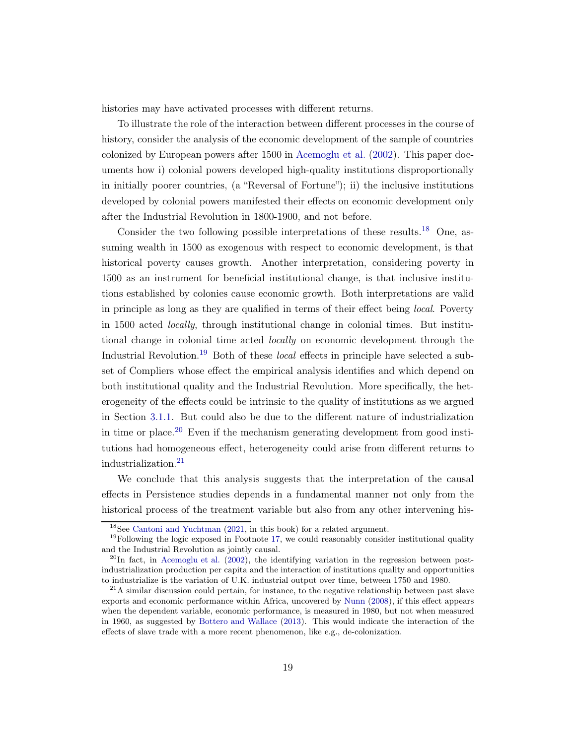histories may have activated processes with different returns.

To illustrate the role of the interaction between different processes in the course of history, consider the analysis of the economic development of the sample of countries colonized by European powers after 1500 in [Acemoglu et al.](#page-35-0) [\(2002\)](#page-35-0). This paper documents how i) colonial powers developed high-quality institutions disproportionally in initially poorer countries, (a "Reversal of Fortune"); ii) the inclusive institutions developed by colonial powers manifested their effects on economic development only after the Industrial Revolution in 1800-1900, and not before.

Consider the two following possible interpretations of these results.<sup>18</sup> One, assuming wealth in 1500 as exogenous with respect to economic development, is that historical poverty causes growth. Another interpretation, considering poverty in 1500 as an instrument for beneficial institutional change, is that inclusive institutions established by colonies cause economic growth. Both interpretations are valid in principle as long as they are qualified in terms of their effect being local. Poverty in 1500 acted locally, through institutional change in colonial times. But institutional change in colonial time acted locally on economic development through the Industrial Revolution.<sup>19</sup> Both of these *local* effects in principle have selected a subset of Compliers whose effect the empirical analysis identifies and which depend on both institutional quality and the Industrial Revolution. More specifically, the heterogeneity of the effects could be intrinsic to the quality of institutions as we argued in Section [3.1.1.](#page-11-0) But could also be due to the different nature of industrialization in time or place.<sup>20</sup> Even if the mechanism generating development from good institutions had homogeneous effect, heterogeneity could arise from different returns to industrialization.<sup>21</sup>

We conclude that this analysis suggests that the interpretation of the causal effects in Persistence studies depends in a fundamental manner not only from the historical process of the treatment variable but also from any other intervening his-

<sup>18</sup>See [Cantoni and Yuchtman](#page-36-0) [\(2021,](#page-36-0) in this book) for a related argument.

 $19$ Following the logic exposed in Footnote [17,](#page-17-0) we could reasonably consider institutional quality and the Industrial Revolution as jointly causal.

 $^{20}$ In fact, in [Acemoglu et al.](#page-35-0) [\(2002](#page-35-0)), the identifying variation in the regression between postindustrialization production per capita and the interaction of institutions quality and opportunities to industrialize is the variation of U.K. industrial output over time, between 1750 and 1980.

 $^{21}$ A similar discussion could pertain, for instance, to the negative relationship between past slave exports and economic performance within Africa, uncovered by [Nunn](#page-38-0) [\(2008](#page-38-0)), if this effect appears when the dependent variable, economic performance, is measured in 1980, but not when measured in 1960, as suggested by [Bottero and Wallace](#page-36-0) [\(2013](#page-36-0)). This would indicate the interaction of the effects of slave trade with a more recent phenomenon, like e.g., de-colonization.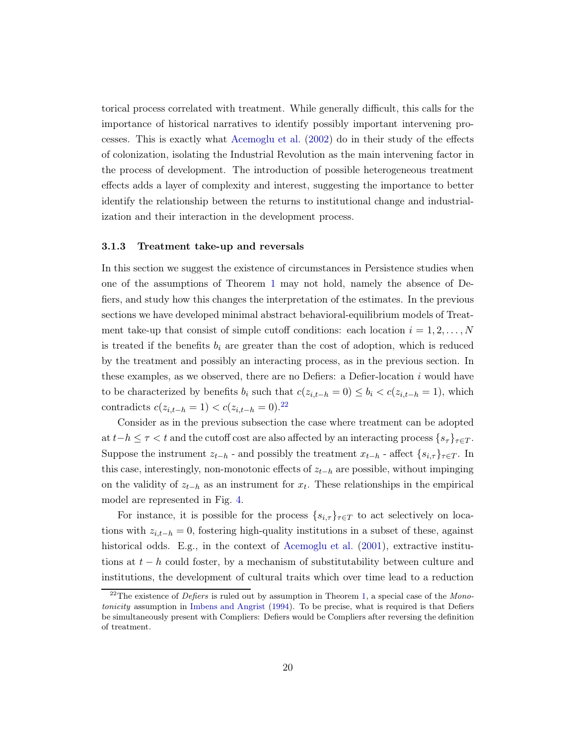torical process correlated with treatment. While generally difficult, this calls for the importance of historical narratives to identify possibly important intervening processes. This is exactly what [Acemoglu et al.](#page-35-0) [\(2002\)](#page-35-0) do in their study of the effects of colonization, isolating the Industrial Revolution as the main intervening factor in the process of development. The introduction of possible heterogeneous treatment effects adds a layer of complexity and interest, suggesting the importance to better identify the relationship between the returns to institutional change and industrialization and their interaction in the development process.

#### 3.1.3 Treatment take-up and reversals

In this section we suggest the existence of circumstances in Persistence studies when one of the assumptions of Theorem [1](#page-10-0) may not hold, namely the absence of Defiers, and study how this changes the interpretation of the estimates. In the previous sections we have developed minimal abstract behavioral-equilibrium models of Treatment take-up that consist of simple cutoff conditions: each location  $i = 1, 2, \ldots, N$ is treated if the benefits  $b_i$  are greater than the cost of adoption, which is reduced by the treatment and possibly an interacting process, as in the previous section. In these examples, as we observed, there are no Defiers: a Defier-location  $i$  would have to be characterized by benefits  $b_i$  such that  $c(z_{i,t-h} = 0) \leq b_i < c(z_{i,t-h} = 1)$ , which contradicts  $c(z_{i,t-h} = 1) < c(z_{i,t-h} = 0).^{22}$ 

Consider as in the previous subsection the case where treatment can be adopted at  $t-h \leq \tau < t$  and the cutoff cost are also affected by an interacting process  $\{s_{\tau}\}_{\tau \in T}$ . Suppose the instrument  $z_{t-h}$  - and possibly the treatment  $x_{t-h}$  - affect  $\{s_{i,\tau}\}_{\tau\in T}$ . In this case, interestingly, non-monotonic effects of  $z_{t-h}$  are possible, without impinging on the validity of  $z_{t-h}$  as an instrument for  $x_t$ . These relationships in the empirical model are represented in Fig. [4.](#page-20-0)

For instance, it is possible for the process  $\{s_{i,\tau}\}_{\tau\in T}$  to act selectively on locations with  $z_{i,t-h} = 0$ , fostering high-quality institutions in a subset of these, against historical odds. E.g., in the context of [Acemoglu et al.](#page-35-0) [\(2001](#page-35-0)), extractive institutions at  $t-h$  could foster, by a mechanism of substitutability between culture and institutions, the development of cultural traits which over time lead to a reduction

<sup>&</sup>lt;sup>22</sup>The existence of *Defiers* is ruled out by assumption in Theorem [1,](#page-10-0) a special case of the Monotonicity assumption in [Imbens and Angrist](#page-38-0) [\(1994](#page-38-0)). To be precise, what is required is that Defiers be simultaneously present with Compliers: Defiers would be Compliers after reversing the definition of treatment.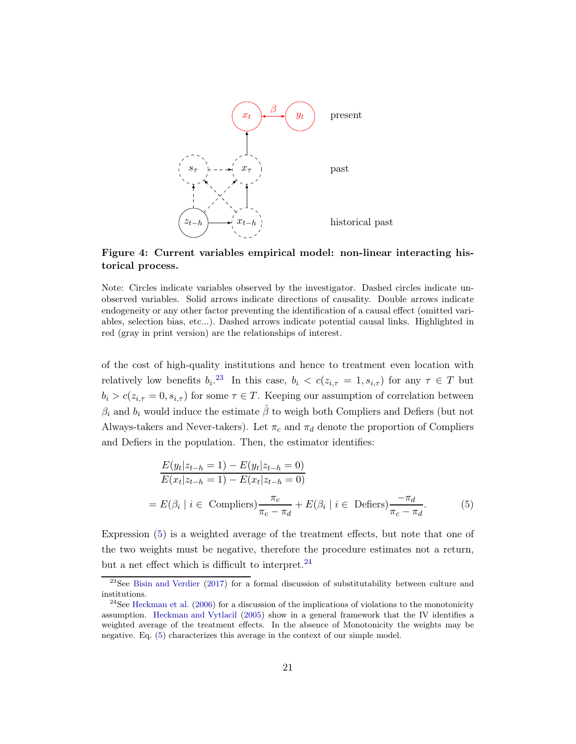<span id="page-20-0"></span>

Figure 4: Current variables empirical model: non-linear interacting historical process.

Note: Circles indicate variables observed by the investigator. Dashed circles indicate unobserved variables. Solid arrows indicate directions of causality. Double arrows indicate endogeneity or any other factor preventing the identification of a causal effect (omitted variables, selection bias, etc...). Dashed arrows indicate potential causal links. Highlighted in red (gray in print version) are the relationships of interest.

of the cost of high-quality institutions and hence to treatment even location with relatively low benefits  $b_i$ <sup>23</sup> In this case,  $b_i < c(z_{i, \tau} = 1, s_{i, \tau})$  for any  $\tau \in T$  but  $b_i > c(z_{i, \tau} = 0, s_{i, \tau})$  for some  $\tau \in T$ . Keeping our assumption of correlation between  $\beta_i$  and  $b_i$  would induce the estimate  $\hat{\beta}$  to weigh both Compliers and Defiers (but not Always-takers and Never-takers). Let  $\pi_c$  and  $\pi_d$  denote the proportion of Compliers and Defiers in the population. Then, the estimator identifies:

$$
\frac{E(y_t|z_{t-h} = 1) - E(y_t|z_{t-h} = 0)}{E(x_t|z_{t-h} = 1) - E(x_t|z_{t-h} = 0)}
$$
\n
$$
= E(\beta_i \mid i \in \text{Complexs}) \frac{\pi_c}{\pi_c - \pi_d} + E(\beta_i \mid i \in \text{Defiers}) \frac{-\pi_d}{\pi_c - \pi_d}.
$$
\n(5)

Expression (5) is a weighted average of the treatment effects, but note that one of the two weights must be negative, therefore the procedure estimates not a return, but a net effect which is difficult to interpret.  $24$ 

 $^{23}$ See [Bisin and Verdier](#page-36-0) [\(2017](#page-36-0)) for a formal discussion of substitutability between culture and institutions.

 $24$ See [Heckman et al.](#page-37-0) [\(2006\)](#page-37-0) for a discussion of the implications of violations to the monotonicity assumption. [Heckman and Vytlacil](#page-38-0) [\(2005\)](#page-38-0) show in a general framework that the IV identifies a weighted average of the treatment effects. In the absence of Monotonicity the weights may be negative. Eq. (5) characterizes this average in the context of our simple model.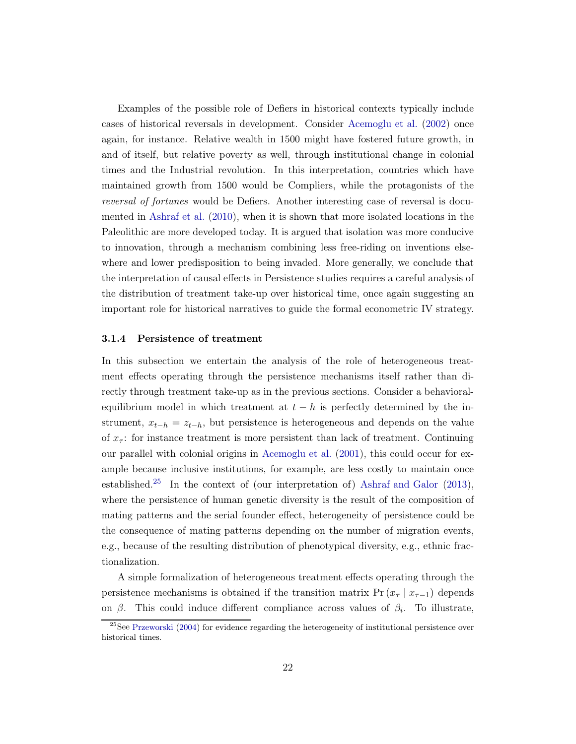<span id="page-21-0"></span>Examples of the possible role of Defiers in historical contexts typically include cases of historical reversals in development. Consider [Acemoglu et al.](#page-35-0) [\(2002](#page-35-0)) once again, for instance. Relative wealth in 1500 might have fostered future growth, in and of itself, but relative poverty as well, through institutional change in colonial times and the Industrial revolution. In this interpretation, countries which have maintained growth from 1500 would be Compliers, while the protagonists of the reversal of fortunes would be Defiers. Another interesting case of reversal is documented in [Ashraf et al.](#page-36-0) [\(2010](#page-36-0)), when it is shown that more isolated locations in the Paleolithic are more developed today. It is argued that isolation was more conducive to innovation, through a mechanism combining less free-riding on inventions elsewhere and lower predisposition to being invaded. More generally, we conclude that the interpretation of causal effects in Persistence studies requires a careful analysis of the distribution of treatment take-up over historical time, once again suggesting an important role for historical narratives to guide the formal econometric IV strategy.

#### 3.1.4 Persistence of treatment

In this subsection we entertain the analysis of the role of heterogeneous treatment effects operating through the persistence mechanisms itself rather than directly through treatment take-up as in the previous sections. Consider a behavioralequilibrium model in which treatment at  $t - h$  is perfectly determined by the instrument,  $x_{t-h} = z_{t-h}$ , but persistence is heterogeneous and depends on the value of  $x_{\tau}$ : for instance treatment is more persistent than lack of treatment. Continuing our parallel with colonial origins in [Acemoglu et al.](#page-35-0) [\(2001](#page-35-0)), this could occur for example because inclusive institutions, for example, are less costly to maintain once established.<sup>25</sup> In the context of (our interpretation of) [Ashraf and Galor](#page-36-0)  $(2013)$ , where the persistence of human genetic diversity is the result of the composition of mating patterns and the serial founder effect, heterogeneity of persistence could be the consequence of mating patterns depending on the number of migration events, e.g., because of the resulting distribution of phenotypical diversity, e.g., ethnic fractionalization.

A simple formalization of heterogeneous treatment effects operating through the persistence mechanisms is obtained if the transition matrix  $Pr(x_\tau | x_{\tau-1})$  depends on  $\beta$ . This could induce different compliance across values of  $\beta_i$ . To illustrate,

<sup>&</sup>lt;sup>25</sup>See [Przeworski](#page-38-0) [\(2004](#page-38-0)) for evidence regarding the heterogeneity of institutional persistence over historical times.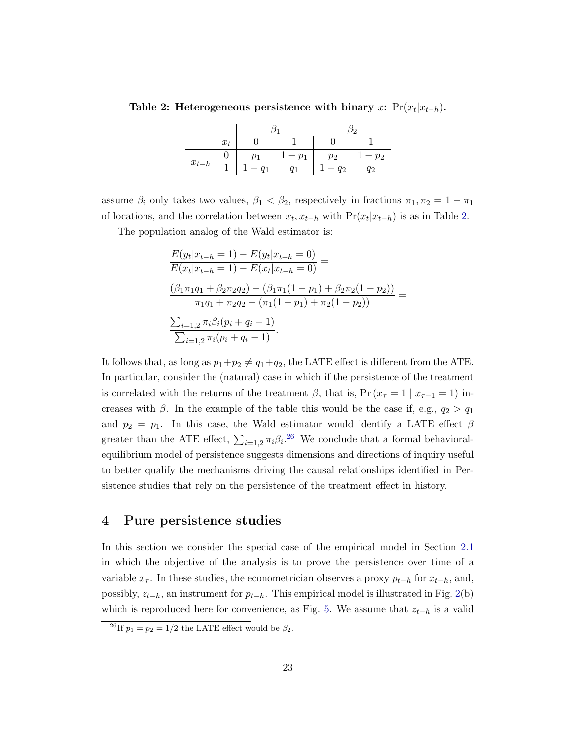<span id="page-22-0"></span>Table 2: Heterogeneous persistence with binary x:  $Pr(x_t|x_{t-h})$ .

|                                                                    | $x_{t}$ |  |  |  |  |
|--------------------------------------------------------------------|---------|--|--|--|--|
| $x_{t-h}$ 0 $p_1$ 1 - $p_1$ $p_2$ 1 - $p_2$<br>1 - $p_2$ 1 - $p_2$ |         |  |  |  |  |
|                                                                    |         |  |  |  |  |

assume  $\beta_i$  only takes two values,  $\beta_1 < \beta_2$ , respectively in fractions  $\pi_1, \pi_2 = 1 - \pi_1$ of locations, and the correlation between  $x_t, x_{t-h}$  with  $Pr(x_t|x_{t-h})$  is as in Table 2.

The population analog of the Wald estimator is:

$$
\frac{E(y_t|x_{t-h} = 1) - E(y_t|x_{t-h} = 0)}{E(x_t|x_{t-h} = 1) - E(x_t|x_{t-h} = 0)} =
$$
\n
$$
\frac{(\beta_1 \pi_1 q_1 + \beta_2 \pi_2 q_2) - (\beta_1 \pi_1 (1 - p_1) + \beta_2 \pi_2 (1 - p_2))}{\pi_1 q_1 + \pi_2 q_2 - (\pi_1 (1 - p_1) + \pi_2 (1 - p_2))} =
$$
\n
$$
\frac{\sum_{i=1,2} \pi_i \beta_i (p_i + q_i - 1)}{\sum_{i=1,2} \pi_i (p_i + q_i - 1)}.
$$

It follows that, as long as  $p_1+p_2 \neq q_1+q_2$ , the LATE effect is different from the ATE. In particular, consider the (natural) case in which if the persistence of the treatment is correlated with the returns of the treatment  $\beta$ , that is, Pr  $(x_{\tau} = 1 \mid x_{\tau-1} = 1)$  increases with  $\beta$ . In the example of the table this would be the case if, e.g.,  $q_2 > q_1$ and  $p_2 = p_1$ . In this case, the Wald estimator would identify a LATE effect  $\beta$ greater than the ATE effect,  $\sum_{i=1,2} \pi_i \beta_i$ .<sup>26</sup> We conclude that a formal behavioralequilibrium model of persistence suggests dimensions and directions of inquiry useful to better qualify the mechanisms driving the causal relationships identified in Persistence studies that rely on the persistence of the treatment effect in history.

## 4 Pure persistence studies

In this section we consider the special case of the empirical model in Section [2.1](#page-4-0) in which the objective of the analysis is to prove the persistence over time of a variable  $x_{\tau}$ . In these studies, the econometrician observes a proxy  $p_{t-h}$  for  $x_{t-h}$ , and, possibly,  $z_{t-h}$ , an instrument for  $p_{t-h}$ . This empirical model is illustrated in Fig. [2\(](#page-7-0)b) which is reproduced here for convenience, as Fig. [5.](#page-23-0) We assume that  $z_{t-h}$  is a valid

<sup>&</sup>lt;sup>26</sup>If  $p_1 = p_2 = 1/2$  the LATE effect would be  $\beta_2$ .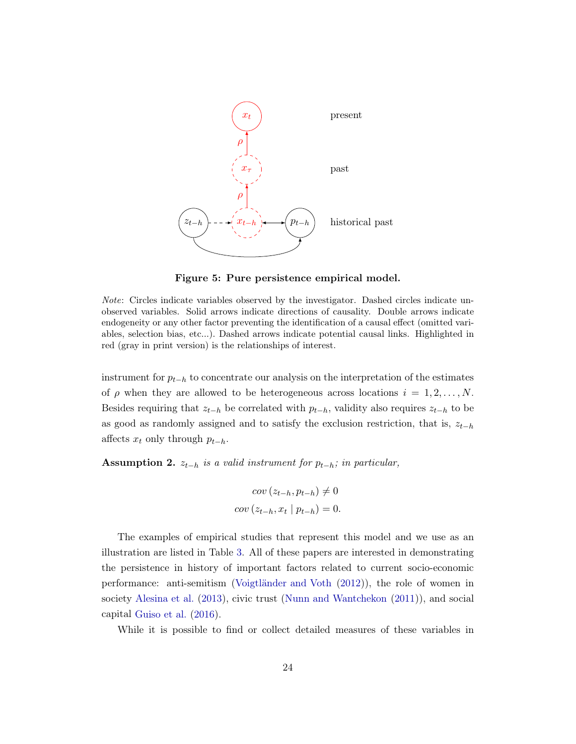<span id="page-23-0"></span>

Figure 5: Pure persistence empirical model.

Note: Circles indicate variables observed by the investigator. Dashed circles indicate unobserved variables. Solid arrows indicate directions of causality. Double arrows indicate endogeneity or any other factor preventing the identification of a causal effect (omitted variables, selection bias, etc...). Dashed arrows indicate potential causal links. Highlighted in red (gray in print version) is the relationships of interest.

instrument for  $p_{t-h}$  to concentrate our analysis on the interpretation of the estimates of  $\rho$  when they are allowed to be heterogeneous across locations  $i = 1, 2, \ldots, N$ . Besides requiring that  $z_{t-h}$  be correlated with  $p_{t-h}$ , validity also requires  $z_{t-h}$  to be as good as randomly assigned and to satisfy the exclusion restriction, that is,  $z_{t-h}$ affects  $x_t$  only through  $p_{t-h}$ .

Assumption 2.  $z_{t-h}$  is a valid instrument for  $p_{t-h}$ ; in particular,

$$
cov(z_{t-h}, p_{t-h}) \neq 0
$$
  
 
$$
cov(z_{t-h}, x_t | p_{t-h}) = 0.
$$

The examples of empirical studies that represent this model and we use as an illustration are listed in Table [3.](#page-24-0) All of these papers are interested in demonstrating the persistence in history of important factors related to current socio-economic performance: anti-semitism [\(Voigtländer and Voth](#page-39-0) [\(2012\)](#page-39-0)), the role of women in society [Alesina et al.](#page-35-0) [\(2013](#page-35-0)), civic trust [\(Nunn and Wantchekon](#page-38-0) [\(2011](#page-38-0))), and social capital [Guiso et al.](#page-37-0) [\(2016](#page-37-0)).

While it is possible to find or collect detailed measures of these variables in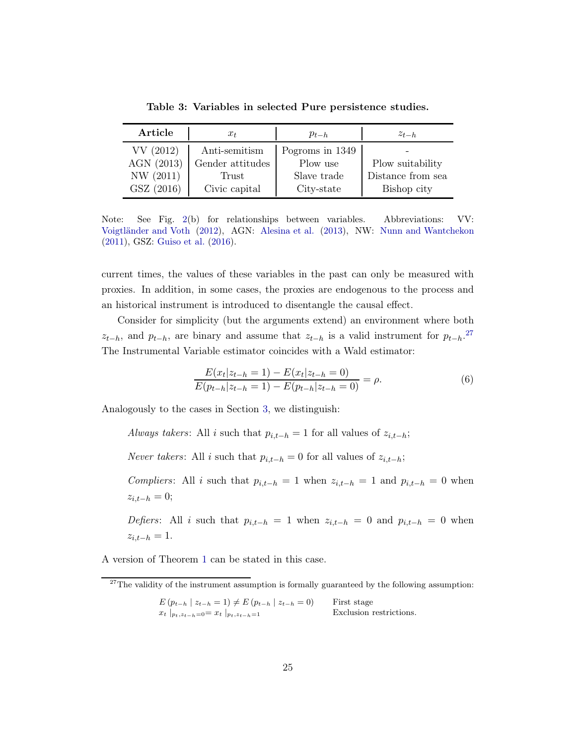Table 3: Variables in selected Pure persistence studies.

<span id="page-24-0"></span>

| Article    | $x_t$            | $p_{t-h}$       | $z_{t-h}$         |
|------------|------------------|-----------------|-------------------|
| VV (2012)  | Anti-semitism    | Pogroms in 1349 |                   |
| AGN (2013) | Gender attitudes | Plow use        | Plow suitability  |
| NW (2011)  | Trust            | Slave trade     | Distance from sea |
| GSZ (2016) | Civic capital    | City-state      | Bishop city       |

Note: See Fig. [2\(](#page-7-0)b) for relationships between variables. Abbreviations: VV: [Voigtländer and Voth](#page-39-0) [\(2012\)](#page-39-0), AGN: [Alesina et al.](#page-35-0) [\(2013](#page-35-0)), NW: [Nunn and Wantchekon](#page-38-0) [\(2011\)](#page-38-0), GSZ: [Guiso et al.](#page-37-0) [\(2016\)](#page-37-0).

current times, the values of these variables in the past can only be measured with proxies. In addition, in some cases, the proxies are endogenous to the process and an historical instrument is introduced to disentangle the causal effect.

Consider for simplicity (but the arguments extend) an environment where both  $z_{t-h}$ , and  $p_{t-h}$ , are binary and assume that  $z_{t-h}$  is a valid instrument for  $p_{t-h}$ .<sup>27</sup> The Instrumental Variable estimator coincides with a Wald estimator:

$$
\frac{E(x_t|z_{t-h}=1) - E(x_t|z_{t-h}=0)}{E(p_{t-h}|z_{t-h}=1) - E(p_{t-h}|z_{t-h}=0)} = \rho.
$$
\n(6)

Analogously to the cases in Section [3,](#page-8-0) we distinguish:

Always takers: All i such that  $p_{i,t-h} = 1$  for all values of  $z_{i,t-h}$ ;

*Never takers*: All *i* such that  $p_{i,t-h} = 0$  for all values of  $z_{i,t-h}$ ;

Compliers: All i such that  $p_{i,t-h} = 1$  when  $z_{i,t-h} = 1$  and  $p_{i,t-h} = 0$  when  $z_{i,t-h} = 0;$ 

Defiers: All i such that  $p_{i,t-h} = 1$  when  $z_{i,t-h} = 0$  and  $p_{i,t-h} = 0$  when  $z_{i,t-h} = 1.$ 

A version of Theorem [1](#page-10-0) can be stated in this case.

 $E(p_{t-h} | z_{t-h} = 1) \neq E(p_{t-h} | z_{t-h} = 0)$  First stage  $x_t |_{p_t, z_{t-h}=0} = x_t |_{p_t, z_{t-h}=1}$  Exclusion restrictions.

 $27$ The validity of the instrument assumption is formally guaranteed by the following assumption: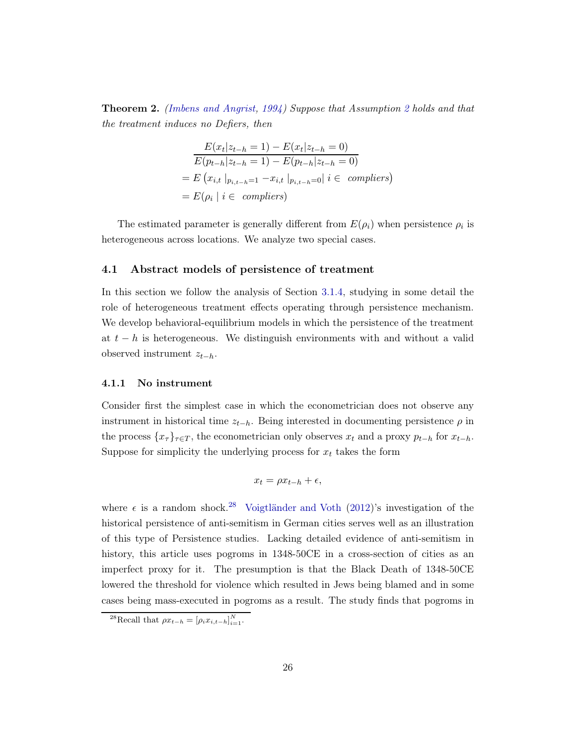Theorem 2. [\(Imbens and Angrist](#page-38-0), [1994](#page-38-0)) Suppose that Assumption [2](#page-23-0) holds and that the treatment induces no Defiers, then

$$
E(x_t|z_{t-h} = 1) - E(x_t|z_{t-h} = 0)
$$
  
\n
$$
E(p_{t-h}|z_{t-h} = 1) - E(p_{t-h}|z_{t-h} = 0)
$$
  
\n
$$
= E(x_{i,t} | p_{i,t-h} = 1 - x_{i,t} | p_{i,t-h} = 0 | i \in \text{complex})
$$
  
\n
$$
= E(\rho_i | i \in \text{complex})
$$

The estimated parameter is generally different from  $E(\rho_i)$  when persistence  $\rho_i$  is heterogeneous across locations. We analyze two special cases.

#### 4.1 Abstract models of persistence of treatment

In this section we follow the analysis of Section [3.1.4,](#page-21-0) studying in some detail the role of heterogeneous treatment effects operating through persistence mechanism. We develop behavioral-equilibrium models in which the persistence of the treatment at  $t - h$  is heterogeneous. We distinguish environments with and without a valid observed instrument  $z_{t-h}$ .

#### 4.1.1 No instrument

Consider first the simplest case in which the econometrician does not observe any instrument in historical time  $z_{t-h}$ . Being interested in documenting persistence  $\rho$  in the process  $\{x_{\tau}\}_{\tau\in T}$ , the econometrician only observes  $x_t$  and a proxy  $p_{t-h}$  for  $x_{t-h}$ . Suppose for simplicity the underlying process for  $x_t$  takes the form

$$
x_t = \rho x_{t-h} + \epsilon,
$$

where  $\epsilon$  is a random shock.<sup>28</sup> [Voigtländer and Voth](#page-39-0) [\(2012\)](#page-39-0)'s investigation of the historical persistence of anti-semitism in German cities serves well as an illustration of this type of Persistence studies. Lacking detailed evidence of anti-semitism in history, this article uses pogroms in  $1348-50CE$  in a cross-section of cities as an imperfect proxy for it. The presumption is that the Black Death of 1348-50CE lowered the threshold for violence which resulted in Jews being blamed and in some cases being mass-executed in pogroms as a result. The study finds that pogroms in

<sup>&</sup>lt;sup>28</sup>Recall that  $\rho x_{t-h} = [\rho_i x_{i,t-h}]_{i=1}^N$ .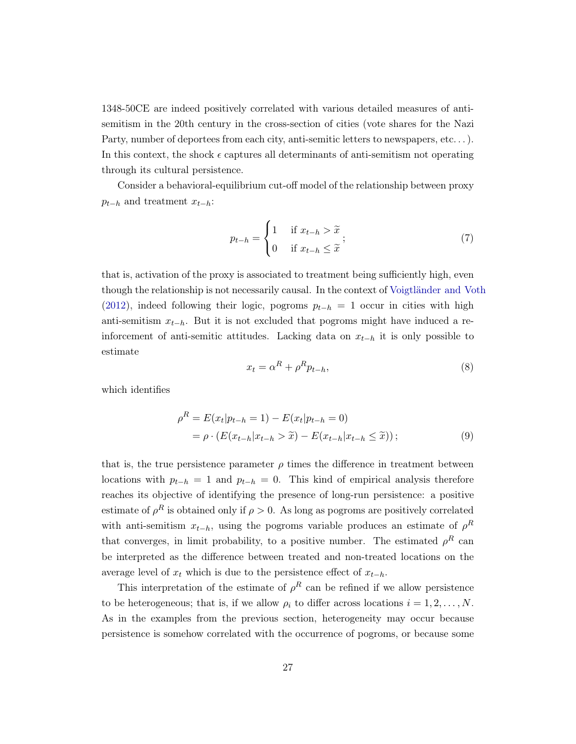<span id="page-26-0"></span>1348-50CE are indeed positively correlated with various detailed measures of antisemitism in the 20th century in the cross-section of cities (vote shares for the Nazi Party, number of deportees from each city, anti-semitic letters to newspapers, etc...). In this context, the shock  $\epsilon$  captures all determinants of anti-semitism not operating through its cultural persistence.

Consider a behavioral-equilibrium cut-off model of the relationship between proxy  $p_{t-h}$  and treatment  $x_{t-h}$ :

$$
p_{t-h} = \begin{cases} 1 & \text{if } x_{t-h} > \widetilde{x} \\ 0 & \text{if } x_{t-h} \le \widetilde{x} \end{cases};\tag{7}
$$

that is, activation of the proxy is associated to treatment being sufficiently high, even though the relationship is not necessarily causal. In the context of [Voigtländer and Voth](#page-39-0) [\(2012\)](#page-39-0), indeed following their logic, pogroms  $p_{t-h} = 1$  occur in cities with high anti-semitism  $x_{t-h}$ . But it is not excluded that pogroms might have induced a reinforcement of anti-semitic attitudes. Lacking data on  $x_{t-h}$  it is only possible to estimate

$$
x_t = \alpha^R + \rho^R p_{t-h},\tag{8}
$$

which identifies

$$
\rho^{R} = E(x_{t}|p_{t-h} = 1) - E(x_{t}|p_{t-h} = 0)
$$
  
=  $\rho \cdot (E(x_{t-h}|x_{t-h} > \tilde{x}) - E(x_{t-h}|x_{t-h} \le \tilde{x}));$  (9)

that is, the true persistence parameter  $\rho$  times the difference in treatment between locations with  $p_{t-h} = 1$  and  $p_{t-h} = 0$ . This kind of empirical analysis therefore reaches its objective of identifying the presence of long-run persistence: a positive estimate of  $\rho^R$  is obtained only if  $\rho > 0$ . As long as pogroms are positively correlated with anti-semitism  $x_{t-h}$ , using the pogroms variable produces an estimate of  $\rho^R$ that converges, in limit probability, to a positive number. The estimated  $\rho^R$  can be interpreted as the difference between treated and non-treated locations on the average level of  $x_t$  which is due to the persistence effect of  $x_{t-h}$ .

This interpretation of the estimate of  $\rho^R$  can be refined if we allow persistence to be heterogeneous; that is, if we allow  $\rho_i$  to differ across locations  $i = 1, 2, \ldots, N$ . As in the examples from the previous section, heterogeneity may occur because persistence is somehow correlated with the occurrence of pogroms, or because some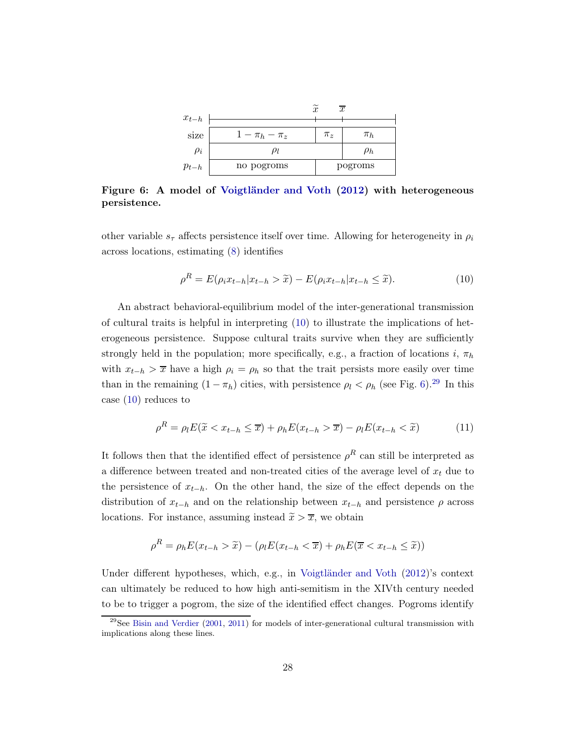<span id="page-27-0"></span>

|           | $\overline{x}$<br>$\boldsymbol{x}$ |         |          |  |
|-----------|------------------------------------|---------|----------|--|
| $x_{t-h}$ |                                    |         |          |  |
| size      | $1-\pi_h-\pi_z$                    | $\pi_z$ | $\pi_h$  |  |
| $\rho_i$  | $\mu_l$                            |         | $\rho_h$ |  |
| $p_{t-h}$ | no pogroms                         |         | pogroms  |  |

Figure 6: A model of [Voigtländer and Voth](#page-39-0) [\(2012](#page-39-0)) with heterogeneous persistence.

other variable  $s<sub>\tau</sub>$  affects persistence itself over time. Allowing for heterogeneity in  $\rho_i$ across locations, estimating [\(8\)](#page-26-0) identifies

$$
\rho^{R} = E(\rho_{i}x_{t-h}|x_{t-h} > \widetilde{x}) - E(\rho_{i}x_{t-h}|x_{t-h} \le \widetilde{x}). \tag{10}
$$

An abstract behavioral-equilibrium model of the inter-generational transmission of cultural traits is helpful in interpreting (10) to illustrate the implications of heterogeneous persistence. Suppose cultural traits survive when they are sufficiently strongly held in the population; more specifically, e.g., a fraction of locations i,  $\pi_h$ with  $x_{t-h} > \overline{x}$  have a high  $\rho_i = \rho_h$  so that the trait persists more easily over time than in the remaining  $(1 - \pi_h)$  cities, with persistence  $\rho_l < \rho_h$  (see Fig. 6).<sup>29</sup> In this case (10) reduces to

$$
\rho^R = \rho_l E(\tilde{x} < x_{t-h} \leq \overline{x}) + \rho_h E(x_{t-h} > \overline{x}) - \rho_l E(x_{t-h} < \tilde{x}) \tag{11}
$$

It follows then that the identified effect of persistence  $\rho^R$  can still be interpreted as a difference between treated and non-treated cities of the average level of  $x_t$  due to the persistence of  $x_{t-h}$ . On the other hand, the size of the effect depends on the distribution of  $x_{t-h}$  and on the relationship between  $x_{t-h}$  and persistence  $\rho$  across locations. For instance, assuming instead  $\tilde{x} > \overline{x}$ , we obtain

$$
\rho^{R} = \rho_h E(x_{t-h} > \widetilde{x}) - (\rho_l E(x_{t-h} < \overline{x}) + \rho_h E(\overline{x} < x_{t-h} \le \widetilde{x}))
$$

Under different hypotheses, which, e.g., in [Voigtländer and Voth](#page-39-0) [\(2012\)](#page-39-0)'s context can ultimately be reduced to how high anti-semitism in the XIVth century needed to be to trigger a pogrom, the size of the identified effect changes. Pogroms identify

 $^{29}$ See [Bisin and Verdier](#page-36-0) [\(2001,](#page-36-0) [2011](#page-36-0)) for models of inter-generational cultural transmission with implications along these lines.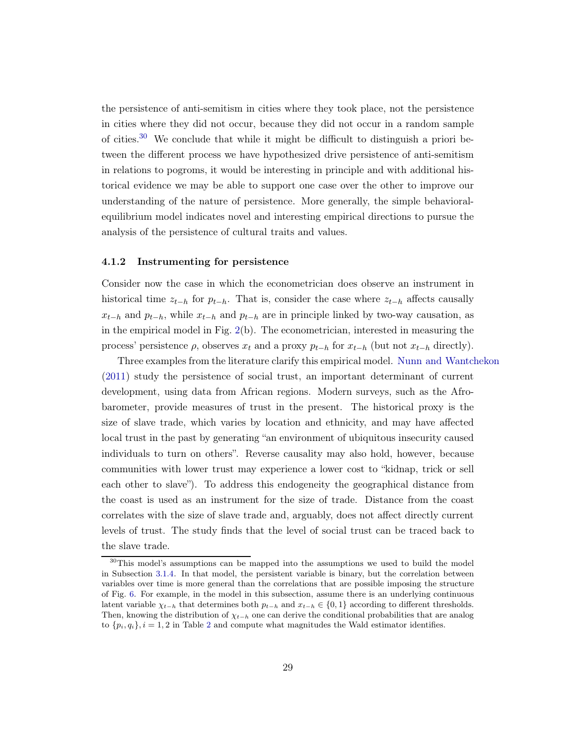the persistence of anti-semitism in cities where they took place, not the persistence in cities where they did not occur, because they did not occur in a random sample of cities.<sup>30</sup> We conclude that while it might be difficult to distinguish a priori between the different process we have hypothesized drive persistence of anti-semitism in relations to pogroms, it would be interesting in principle and with additional historical evidence we may be able to support one case over the other to improve our understanding of the nature of persistence. More generally, the simple behavioralequilibrium model indicates novel and interesting empirical directions to pursue the analysis of the persistence of cultural traits and values.

#### 4.1.2 Instrumenting for persistence

Consider now the case in which the econometrician does observe an instrument in historical time  $z_{t-h}$  for  $p_{t-h}$ . That is, consider the case where  $z_{t-h}$  affects causally  $x_{t-h}$  and  $p_{t-h}$ , while  $x_{t-h}$  and  $p_{t-h}$  are in principle linked by two-way causation, as in the empirical model in Fig. [2\(](#page-7-0)b). The econometrician, interested in measuring the process' persistence  $\rho$ , observes  $x_t$  and a proxy  $p_{t-h}$  for  $x_{t-h}$  (but not  $x_{t-h}$  directly).

Three examples from the literature clarify this empirical model. [Nunn and Wantchekon](#page-38-0) [\(2011\)](#page-38-0) study the persistence of social trust, an important determinant of current development, using data from African regions. Modern surveys, such as the Afrobarometer, provide measures of trust in the present. The historical proxy is the size of slave trade, which varies by location and ethnicity, and may have affected local trust in the past by generating "an environment of ubiquitous insecurity caused individuals to turn on others". Reverse causality may also hold, however, because communities with lower trust may experience a lower cost to "kidnap, trick or sell each other to slave"). To address this endogeneity the geographical distance from the coast is used as an instrument for the size of trade. Distance from the coast correlates with the size of slave trade and, arguably, does not affect directly current levels of trust. The study finds that the level of social trust can be traced back to the slave trade.

<sup>&</sup>lt;sup>30</sup>This model's assumptions can be mapped into the assumptions we used to build the model in Subsection [3.1.4.](#page-21-0) In that model, the persistent variable is binary, but the correlation between variables over time is more general than the correlations that are possible imposing the structure of Fig. [6.](#page-27-0) For example, in the model in this subsection, assume there is an underlying continuous latent variable  $\chi_{t-h}$  that determines both  $p_{t-h}$  and  $x_{t-h} \in \{0,1\}$  according to different thresholds. Then, knowing the distribution of  $\chi_{t-h}$  one can derive the conditional probabilities that are analog to  $\{p_i, q_i\}, i = 1, 2$  $\{p_i, q_i\}, i = 1, 2$  in Table 2 and compute what magnitudes the Wald estimator identifies.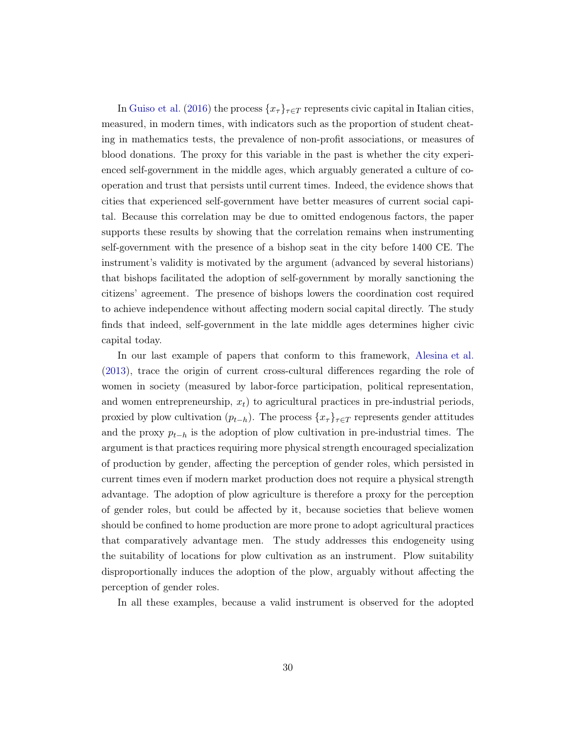In [Guiso et al.](#page-37-0) [\(2016\)](#page-37-0) the process  $\{x_{\tau}\}_{\tau \in T}$  represents civic capital in Italian cities, measured, in modern times, with indicators such as the proportion of student cheating in mathematics tests, the prevalence of non-profit associations, or measures of blood donations. The proxy for this variable in the past is whether the city experienced self-government in the middle ages, which arguably generated a culture of cooperation and trust that persists until current times. Indeed, the evidence shows that cities that experienced self-government have better measures of current social capital. Because this correlation may be due to omitted endogenous factors, the paper supports these results by showing that the correlation remains when instrumenting self-government with the presence of a bishop seat in the city before 1400 CE. The instrument's validity is motivated by the argument (advanced by several historians) that bishops facilitated the adoption of self-government by morally sanctioning the citizens' agreement. The presence of bishops lowers the coordination cost required to achieve independence without affecting modern social capital directly. The study finds that indeed, self-government in the late middle ages determines higher civic capital today.

In our last example of papers that conform to this framework, [Alesina et al.](#page-35-0) [\(2013\)](#page-35-0), trace the origin of current cross-cultural differences regarding the role of women in society (measured by labor-force participation, political representation, and women entrepreneurship,  $x_t$ ) to agricultural practices in pre-industrial periods, proxied by plow cultivation  $(p_{t-h})$ . The process  $\{x_{\tau}\}_{\tau\in T}$  represents gender attitudes and the proxy  $p_{t-h}$  is the adoption of plow cultivation in pre-industrial times. The argument is that practices requiring more physical strength encouraged specialization of production by gender, affecting the perception of gender roles, which persisted in current times even if modern market production does not require a physical strength advantage. The adoption of plow agriculture is therefore a proxy for the perception of gender roles, but could be affected by it, because societies that believe women should be confined to home production are more prone to adopt agricultural practices that comparatively advantage men. The study addresses this endogeneity using the suitability of locations for plow cultivation as an instrument. Plow suitability disproportionally induces the adoption of the plow, arguably without affecting the perception of gender roles.

In all these examples, because a valid instrument is observed for the adopted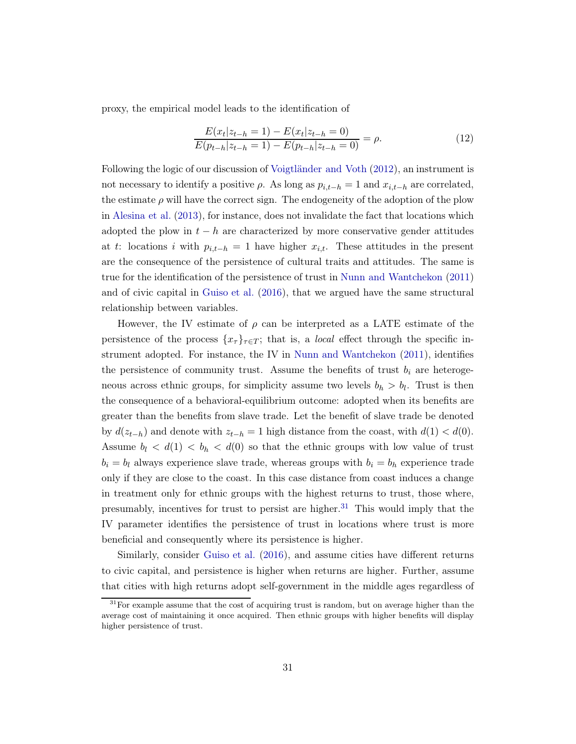proxy, the empirical model leads to the identification of

$$
\frac{E(x_t|z_{t-h}=1) - E(x_t|z_{t-h}=0)}{E(p_{t-h}|z_{t-h}=1) - E(p_{t-h}|z_{t-h}=0)} = \rho.
$$
\n(12)

Following the logic of our discussion of [Voigtländer and Voth](#page-39-0) [\(2012\)](#page-39-0), an instrument is not necessary to identify a positive  $\rho$ . As long as  $p_{i,t-h} = 1$  and  $x_{i,t-h}$  are correlated, the estimate  $\rho$  will have the correct sign. The endogeneity of the adoption of the plow in [Alesina et al.](#page-35-0) [\(2013\)](#page-35-0), for instance, does not invalidate the fact that locations which adopted the plow in  $t - h$  are characterized by more conservative gender attitudes at t: locations i with  $p_{i,t-h} = 1$  have higher  $x_{i,t}$ . These attitudes in the present are the consequence of the persistence of cultural traits and attitudes. The same is true for the identification of the persistence of trust in [Nunn and Wantchekon](#page-38-0) [\(2011\)](#page-38-0) and of civic capital in [Guiso et al.](#page-37-0) [\(2016\)](#page-37-0), that we argued have the same structural relationship between variables.

However, the IV estimate of  $\rho$  can be interpreted as a LATE estimate of the persistence of the process  $\{x_\tau\}_{\tau \in T}$ ; that is, a *local* effect through the specific instrument adopted. For instance, the IV in [Nunn and Wantchekon](#page-38-0) [\(2011](#page-38-0)), identifies the persistence of community trust. Assume the benefits of trust  $b_i$  are heterogeneous across ethnic groups, for simplicity assume two levels  $b_h > b_l$ . Trust is then the consequence of a behavioral-equilibrium outcome: adopted when its benefits are greater than the benefits from slave trade. Let the benefit of slave trade be denoted by  $d(z_{t-h})$  and denote with  $z_{t-h} = 1$  high distance from the coast, with  $d(1) < d(0)$ . Assume  $b_l < d(1) < b_h < d(0)$  so that the ethnic groups with low value of trust  $b_i = b_l$  always experience slave trade, whereas groups with  $b_i = b_h$  experience trade only if they are close to the coast. In this case distance from coast induces a change in treatment only for ethnic groups with the highest returns to trust, those where, presumably, incentives for trust to persist are higher.<sup>31</sup> This would imply that the IV parameter identifies the persistence of trust in locations where trust is more beneficial and consequently where its persistence is higher.

Similarly, consider [Guiso et al.](#page-37-0) [\(2016\)](#page-37-0), and assume cities have different returns to civic capital, and persistence is higher when returns are higher. Further, assume that cities with high returns adopt self-government in the middle ages regardless of

 $31$  For example assume that the cost of acquiring trust is random, but on average higher than the average cost of maintaining it once acquired. Then ethnic groups with higher benefits will display higher persistence of trust.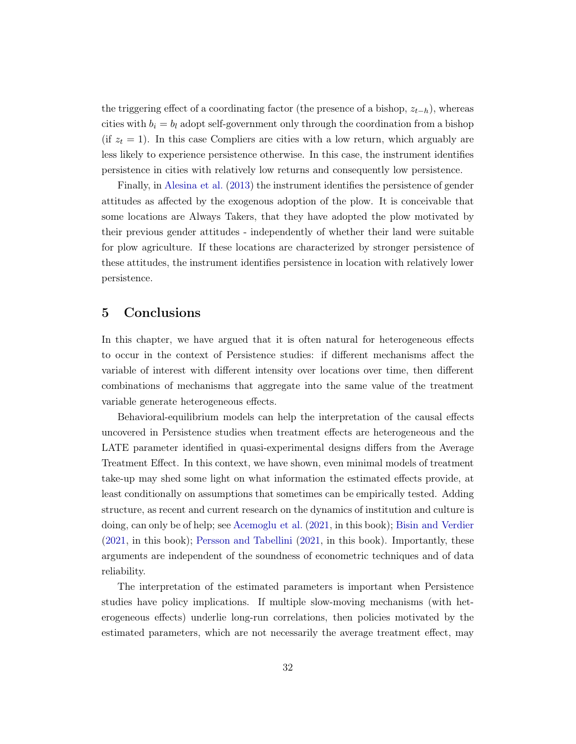the triggering effect of a coordinating factor (the presence of a bishop,  $z_{t-h}$ ), whereas cities with  $b_i = b_i$  adopt self-government only through the coordination from a bishop (if  $z_t = 1$ ). In this case Compliers are cities with a low return, which arguably are less likely to experience persistence otherwise. In this case, the instrument identifies persistence in cities with relatively low returns and consequently low persistence.

Finally, in [Alesina et al.](#page-35-0) [\(2013\)](#page-35-0) the instrument identifies the persistence of gender attitudes as affected by the exogenous adoption of the plow. It is conceivable that some locations are Always Takers, that they have adopted the plow motivated by their previous gender attitudes - independently of whether their land were suitable for plow agriculture. If these locations are characterized by stronger persistence of these attitudes, the instrument identifies persistence in location with relatively lower persistence.

## 5 Conclusions

In this chapter, we have argued that it is often natural for heterogeneous effects to occur in the context of Persistence studies: if different mechanisms affect the variable of interest with different intensity over locations over time, then different combinations of mechanisms that aggregate into the same value of the treatment variable generate heterogeneous effects.

Behavioral-equilibrium models can help the interpretation of the causal effects uncovered in Persistence studies when treatment effects are heterogeneous and the LATE parameter identified in quasi-experimental designs differs from the Average Treatment Effect. In this context, we have shown, even minimal models of treatment take-up may shed some light on what information the estimated effects provide, at least conditionally on assumptions that sometimes can be empirically tested. Adding structure, as recent and current research on the dynamics of institution and culture is doing, can only be of help; see [Acemoglu et al.](#page-35-0) [\(2021](#page-35-0), in this book); [Bisin and Verdier](#page-36-0) [\(2021,](#page-36-0) in this book); [Persson and Tabellini](#page-38-0) [\(2021,](#page-38-0) in this book). Importantly, these arguments are independent of the soundness of econometric techniques and of data reliability.

The interpretation of the estimated parameters is important when Persistence studies have policy implications. If multiple slow-moving mechanisms (with heterogeneous effects) underlie long-run correlations, then policies motivated by the estimated parameters, which are not necessarily the average treatment effect, may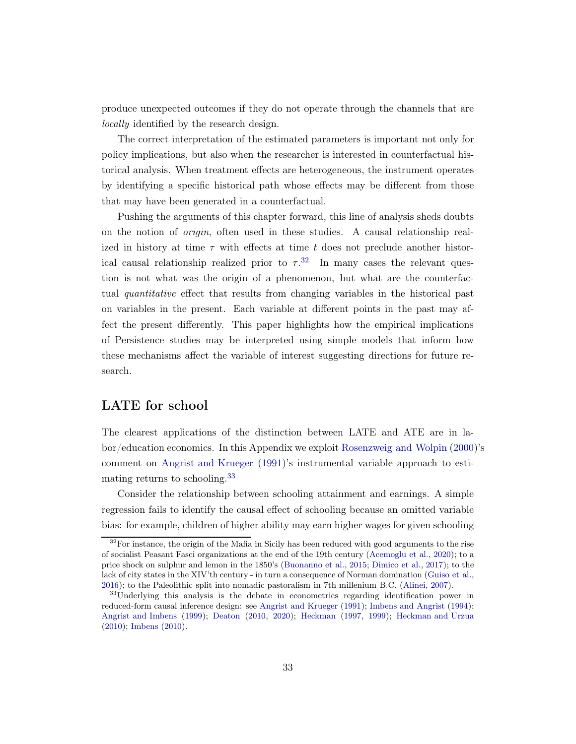produce unexpected outcomes if they do not operate through the channels that are locally identified by the research design.

The correct interpretation of the estimated parameters is important not only for policy implications, but also when the researcher is interested in counterfactual historical analysis. When treatment effects are heterogeneous, the instrument operates by identifying a specific historical path whose effects may be different from those that may have been generated in a counterfactual.

Pushing the arguments of this chapter forward, this line of analysis sheds doubts on the notion of origin, often used in these studies. A causal relationship realized in history at time  $\tau$  with effects at time t does not preclude another historical causal relationship realized prior to  $\tau$ .<sup>32</sup> In many cases the relevant question is not what was the origin of a phenomenon, but what are the counterfactual quantitative effect that results from changing variables in the historical past on variables in the present. Each variable at different points in the past may affect the present differently. This paper highlights how the empirical implications of Persistence studies may be interpreted using simple models that inform how these mechanisms affect the variable of interest suggesting directions for future research.

## LATE for school

The clearest applications of the distinction between LATE and ATE are in labor/education economics. In this Appendix we exploit [Rosenzweig and Wolpin](#page-38-0) [\(2000\)](#page-38-0)'s comment on [Angrist and Krueger](#page-35-0) [\(1991](#page-35-0))'s instrumental variable approach to estimating returns to schooling.<sup>33</sup>

Consider the relationship between schooling attainment and earnings. A simple regression fails to identify the causal effect of schooling because an omitted variable bias: for example, children of higher ability may earn higher wages for given schooling

 $32$ For instance, the origin of the Mafia in Sicily has been reduced with good arguments to the rise of socialist Peasant Fasci organizations at the end of the 19th century [\(Acemoglu et al.,](#page-35-0) [2020](#page-35-0)); to a price shock on sulphur and lemon in the 1850's [\(Buonanno et al.](#page-36-0), [2015](#page-36-0); [Dimico et al.](#page-37-0), [2017](#page-37-0)); to the lack of city states in the XIV'th century - in turn a consequence of Norman domination [\(Guiso et al.](#page-37-0), [2016](#page-37-0)); to the Paleolithic split into nomadic pastoralism in 7th millenium B.C. [\(Alinei](#page-35-0), [2007](#page-35-0)).

<sup>&</sup>lt;sup>33</sup>Underlying this analysis is the debate in econometrics regarding identification power in reduced-form causal inference design: see [Angrist and Krueger](#page-35-0) [\(1991](#page-35-0)); [Imbens and Angrist](#page-38-0) [\(1994\)](#page-38-0); [Angrist and Imbens](#page-35-0) [\(1999](#page-35-0)); [Deaton](#page-37-0) [\(2010](#page-37-0), [2020\)](#page-37-0); [Heckman](#page-37-0) [\(1997](#page-37-0), [1999](#page-37-0)); [Heckman and Urzua](#page-37-0) [\(2010\)](#page-37-0); [Imbens](#page-38-0) [\(2010](#page-38-0)).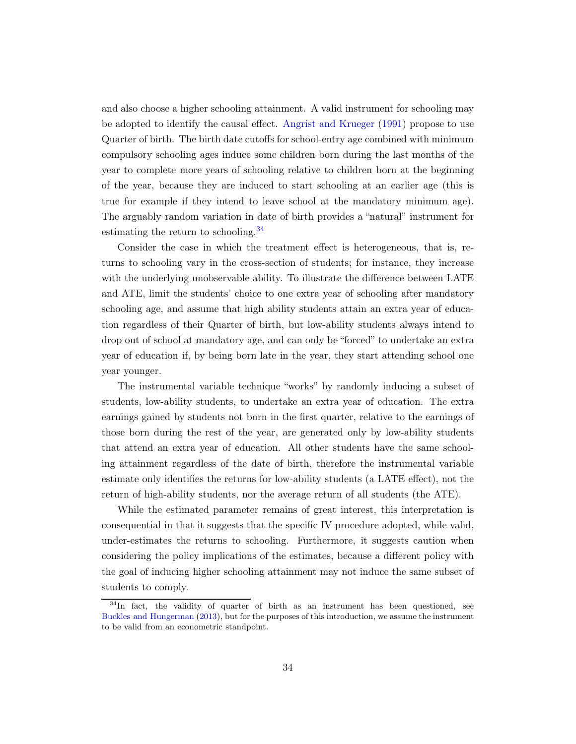and also choose a higher schooling attainment. A valid instrument for schooling may be adopted to identify the causal effect. [Angrist and Krueger](#page-35-0) [\(1991\)](#page-35-0) propose to use Quarter of birth. The birth date cutoffs for school-entry age combined with minimum compulsory schooling ages induce some children born during the last months of the year to complete more years of schooling relative to children born at the beginning of the year, because they are induced to start schooling at an earlier age (this is true for example if they intend to leave school at the mandatory minimum age). The arguably random variation in date of birth provides a "natural" instrument for estimating the return to schooling.<sup>34</sup>

Consider the case in which the treatment effect is heterogeneous, that is, returns to schooling vary in the cross-section of students; for instance, they increase with the underlying unobservable ability. To illustrate the difference between LATE and ATE, limit the students' choice to one extra year of schooling after mandatory schooling age, and assume that high ability students attain an extra year of education regardless of their Quarter of birth, but low-ability students always intend to drop out of school at mandatory age, and can only be "forced" to undertake an extra year of education if, by being born late in the year, they start attending school one year younger.

The instrumental variable technique "works" by randomly inducing a subset of students, low-ability students, to undertake an extra year of education. The extra earnings gained by students not born in the first quarter, relative to the earnings of those born during the rest of the year, are generated only by low-ability students that attend an extra year of education. All other students have the same schooling attainment regardless of the date of birth, therefore the instrumental variable estimate only identifies the returns for low-ability students (a LATE effect), not the return of high-ability students, nor the average return of all students (the ATE).

While the estimated parameter remains of great interest, this interpretation is consequential in that it suggests that the specific IV procedure adopted, while valid, under-estimates the returns to schooling. Furthermore, it suggests caution when considering the policy implications of the estimates, because a different policy with the goal of inducing higher schooling attainment may not induce the same subset of students to comply.

 $34$ In fact, the validity of quarter of birth as an instrument has been questioned, see [Buckles and Hungerman](#page-36-0) [\(2013\)](#page-36-0), but for the purposes of this introduction, we assume the instrument to be valid from an econometric standpoint.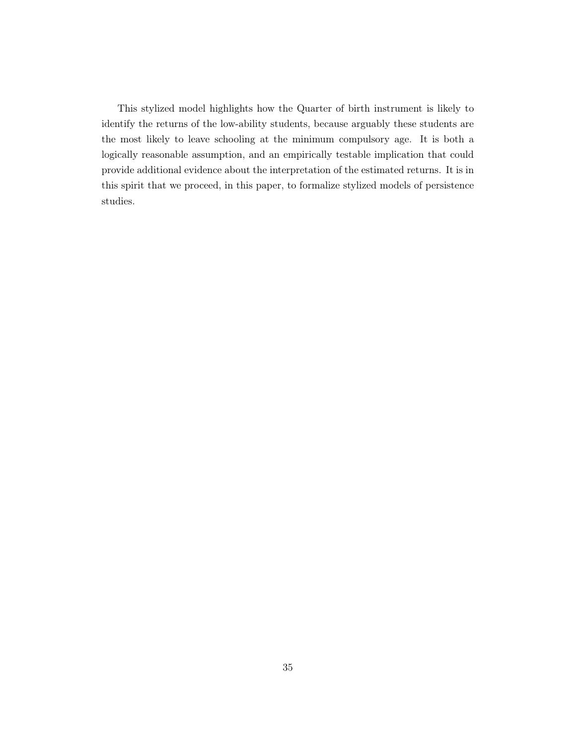This stylized model highlights how the Quarter of birth instrument is likely to identify the returns of the low-ability students, because arguably these students are the most likely to leave schooling at the minimum compulsory age. It is both a logically reasonable assumption, and an empirically testable implication that could provide additional evidence about the interpretation of the estimated returns. It is in this spirit that we proceed, in this paper, to formalize stylized models of persistence studies.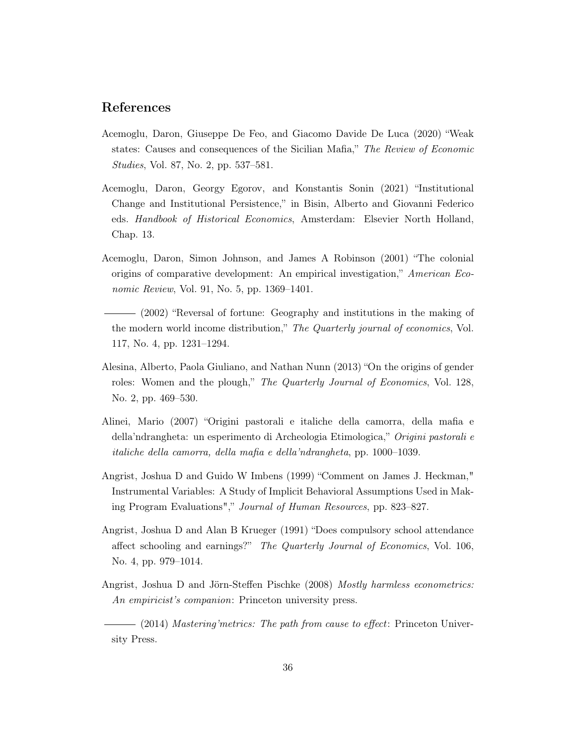# <span id="page-35-0"></span>References

- Acemoglu, Daron, Giuseppe De Feo, and Giacomo Davide De Luca (2020) "Weak states: Causes and consequences of the Sicilian Mafia," The Review of Economic Studies, Vol. 87, No. 2, pp. 537–581.
- Acemoglu, Daron, Georgy Egorov, and Konstantis Sonin (2021) "Institutional Change and Institutional Persistence," in Bisin, Alberto and Giovanni Federico eds. Handbook of Historical Economics, Amsterdam: Elsevier North Holland, Chap. 13.
- Acemoglu, Daron, Simon Johnson, and James A Robinson (2001) "The colonial origins of comparative development: An empirical investigation," American Economic Review, Vol. 91, No. 5, pp. 1369–1401.
- (2002) "Reversal of fortune: Geography and institutions in the making of the modern world income distribution," The Quarterly journal of economics, Vol. 117, No. 4, pp. 1231–1294.
- Alesina, Alberto, Paola Giuliano, and Nathan Nunn (2013) "On the origins of gender roles: Women and the plough," The Quarterly Journal of Economics, Vol. 128, No. 2, pp. 469–530.
- Alinei, Mario (2007) "Origini pastorali e italiche della camorra, della mafia e della'ndrangheta: un esperimento di Archeologia Etimologica," Origini pastorali e italiche della camorra, della mafia e della'ndrangheta, pp. 1000–1039.
- Angrist, Joshua D and Guido W Imbens (1999) "Comment on James J. Heckman," Instrumental Variables: A Study of Implicit Behavioral Assumptions Used in Making Program Evaluations"," Journal of Human Resources, pp. 823–827.
- Angrist, Joshua D and Alan B Krueger (1991) "Does compulsory school attendance affect schooling and earnings?" The Quarterly Journal of Economics, Vol. 106, No. 4, pp. 979–1014.
- Angrist, Joshua D and Jörn-Steffen Pischke (2008) Mostly harmless econometrics: An empiricist's companion: Princeton university press.

(2014) Mastering'metrics: The path from cause to effect: Princeton University Press.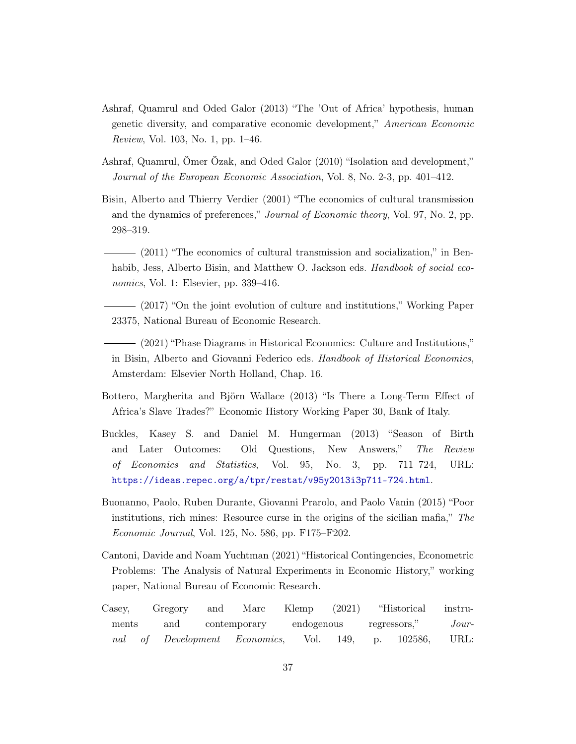- <span id="page-36-0"></span>Ashraf, Quamrul and Oded Galor (2013) "The 'Out of Africa' hypothesis, human genetic diversity, and comparative economic development," American Economic Review, Vol. 103, No. 1, pp. 1–46.
- Ashraf, Quamrul, Ömer Özak, and Oded Galor (2010) "Isolation and development," Journal of the European Economic Association, Vol. 8, No. 2-3, pp. 401–412.
- Bisin, Alberto and Thierry Verdier (2001) "The economics of cultural transmission and the dynamics of preferences," Journal of Economic theory, Vol. 97, No. 2, pp. 298–319.
- (2011) "The economics of cultural transmission and socialization," in Benhabib, Jess, Alberto Bisin, and Matthew O. Jackson eds. Handbook of social economics, Vol. 1: Elsevier, pp. 339–416.
- (2017) "On the joint evolution of culture and institutions," Working Paper 23375, National Bureau of Economic Research.
- (2021) "Phase Diagrams in Historical Economics: Culture and Institutions," in Bisin, Alberto and Giovanni Federico eds. Handbook of Historical Economics, Amsterdam: Elsevier North Holland, Chap. 16.
- Bottero, Margherita and Björn Wallace (2013) "Is There a Long-Term Effect of Africa's Slave Trades?" Economic History Working Paper 30, Bank of Italy.
- Buckles, Kasey S. and Daniel M. Hungerman (2013) "Season of Birth and Later Outcomes: Old Questions, New Answers," The Review of Economics and Statistics, Vol. 95, No. 3, pp. 711–724, URL: <https://ideas.repec.org/a/tpr/restat/v95y2013i3p711-724.html>.
- Buonanno, Paolo, Ruben Durante, Giovanni Prarolo, and Paolo Vanin (2015) "Poor institutions, rich mines: Resource curse in the origins of the sicilian mafia," The Economic Journal, Vol. 125, No. 586, pp. F175–F202.
- Cantoni, Davide and Noam Yuchtman (2021) "Historical Contingencies, Econometric Problems: The Analysis of Natural Experiments in Economic History," working paper, National Bureau of Economic Research.
- Casey, Gregory and Marc Klemp (2021) "Historical instruments and contemporary endogenous regressors," Journal of Development Economics, Vol. 149, p. 102586, URL: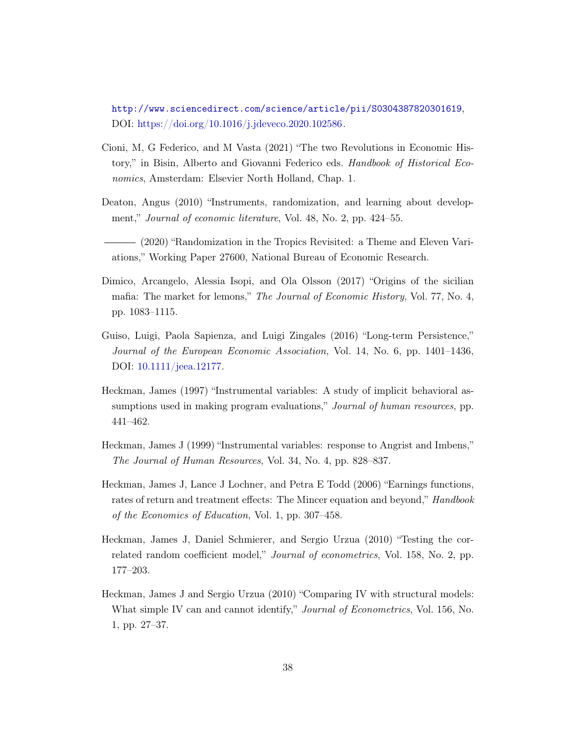<span id="page-37-0"></span><http://www.sciencedirect.com/science/article/pii/S0304387820301619>, DOI: [https://doi.org/10.1016/j.jdeveco.2020.102586.](http://dx.doi.org/https://doi.org/10.1016/j.jdeveco.2020.102586)

- Cioni, M, G Federico, and M Vasta (2021) "The two Revolutions in Economic History," in Bisin, Alberto and Giovanni Federico eds. Handbook of Historical Economics, Amsterdam: Elsevier North Holland, Chap. 1.
- Deaton, Angus (2010) "Instruments, randomization, and learning about development," *Journal of economic literature*, Vol. 48, No. 2, pp. 424–55.
- (2020) "Randomization in the Tropics Revisited: a Theme and Eleven Variations," Working Paper 27600, National Bureau of Economic Research.
- Dimico, Arcangelo, Alessia Isopi, and Ola Olsson (2017) "Origins of the sicilian mafia: The market for lemons," The Journal of Economic History, Vol. 77, No. 4, pp. 1083–1115.
- Guiso, Luigi, Paola Sapienza, and Luigi Zingales (2016) "Long-term Persistence," Journal of the European Economic Association, Vol. 14, No. 6, pp. 1401–1436, DOI: [10.1111/jeea.12177.](http://dx.doi.org/10.1111/jeea.12177)
- Heckman, James (1997) "Instrumental variables: A study of implicit behavioral assumptions used in making program evaluations," *Journal of human resources*, pp. 441–462.
- Heckman, James J (1999) "Instrumental variables: response to Angrist and Imbens," The Journal of Human Resources, Vol. 34, No. 4, pp. 828–837.
- Heckman, James J, Lance J Lochner, and Petra E Todd (2006) "Earnings functions, rates of return and treatment effects: The Mincer equation and beyond," *Handbook* of the Economics of Education, Vol. 1, pp. 307–458.
- Heckman, James J, Daniel Schmierer, and Sergio Urzua (2010) "Testing the correlated random coefficient model," *Journal of econometrics*, Vol. 158, No. 2, pp. 177–203.
- Heckman, James J and Sergio Urzua (2010) "Comparing IV with structural models: What simple IV can and cannot identify," Journal of Econometrics, Vol. 156, No. 1, pp. 27–37.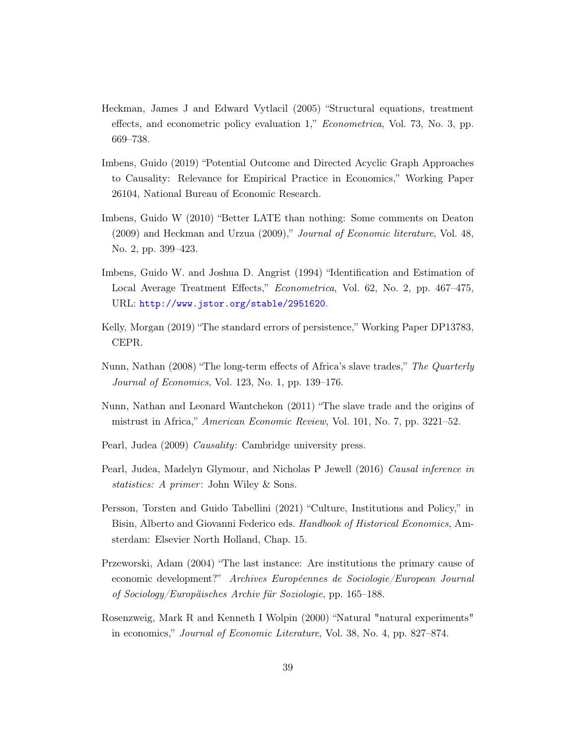- <span id="page-38-0"></span>Heckman, James J and Edward Vytlacil (2005) "Structural equations, treatment effects, and econometric policy evaluation 1," Econometrica, Vol. 73, No. 3, pp. 669–738.
- Imbens, Guido (2019) "Potential Outcome and Directed Acyclic Graph Approaches to Causality: Relevance for Empirical Practice in Economics," Working Paper 26104, National Bureau of Economic Research.
- Imbens, Guido W (2010) "Better LATE than nothing: Some comments on Deaton (2009) and Heckman and Urzua (2009)," Journal of Economic literature, Vol. 48, No. 2, pp. 399–423.
- Imbens, Guido W. and Joshua D. Angrist (1994) "Identification and Estimation of Local Average Treatment Effects," Econometrica, Vol. 62, No. 2, pp. 467–475, URL: <http://www.jstor.org/stable/2951620>.
- Kelly, Morgan (2019) "The standard errors of persistence," Working Paper DP13783, CEPR.
- Nunn, Nathan (2008) "The long-term effects of Africa's slave trades," The Quarterly Journal of Economics, Vol. 123, No. 1, pp. 139–176.
- Nunn, Nathan and Leonard Wantchekon (2011) "The slave trade and the origins of mistrust in Africa," American Economic Review, Vol. 101, No. 7, pp. 3221–52.
- Pearl, Judea (2009) *Causality*: Cambridge university press.
- Pearl, Judea, Madelyn Glymour, and Nicholas P Jewell (2016) Causal inference in statistics: A primer: John Wiley & Sons.
- Persson, Torsten and Guido Tabellini (2021) "Culture, Institutions and Policy," in Bisin, Alberto and Giovanni Federico eds. Handbook of Historical Economics, Amsterdam: Elsevier North Holland, Chap. 15.
- Przeworski, Adam (2004) "The last instance: Are institutions the primary cause of economic development?" Archives Européennes de Sociologie/European Journal of Sociology/Europäisches Archiv für Soziologie, pp. 165–188.
- Rosenzweig, Mark R and Kenneth I Wolpin (2000) "Natural "natural experiments" in economics," Journal of Economic Literature, Vol. 38, No. 4, pp. 827–874.